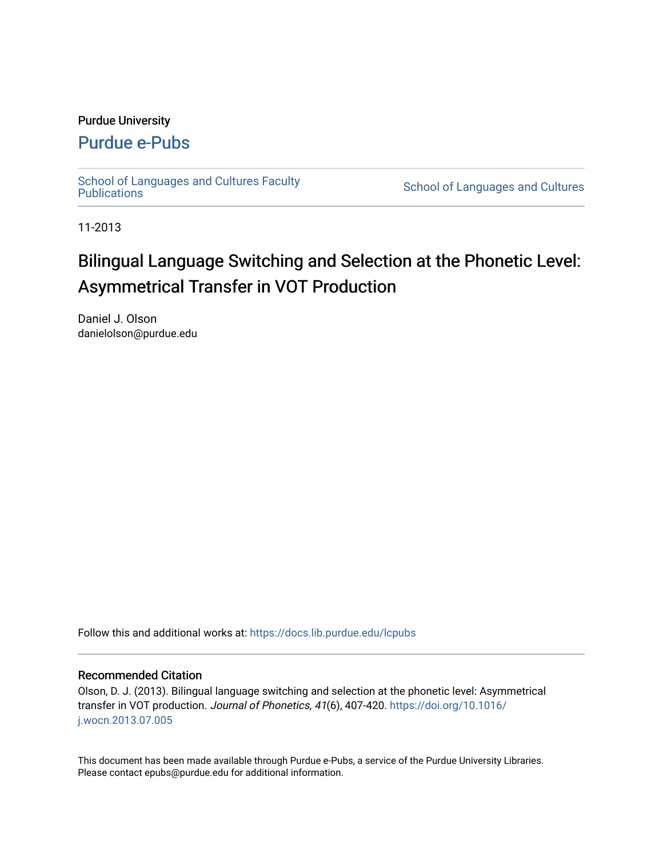## Purdue University

## [Purdue e-Pubs](https://docs.lib.purdue.edu/)

[School of Languages and Cultures Faculty](https://docs.lib.purdue.edu/lcpubs)<br>Publications

School of Languages and Cultures

11-2013

# Bilingual Language Switching and Selection at the Phonetic Level: Asymmetrical Transfer in VOT Production

Daniel J. Olson danielolson@purdue.edu

Follow this and additional works at: [https://docs.lib.purdue.edu/lcpubs](https://docs.lib.purdue.edu/lcpubs?utm_source=docs.lib.purdue.edu%2Flcpubs%2F11&utm_medium=PDF&utm_campaign=PDFCoverPages)

## Recommended Citation

Olson, D. J. (2013). Bilingual language switching and selection at the phonetic level: Asymmetrical transfer in VOT production. Journal of Phonetics, 41(6), 407-420. [https://doi.org/10.1016/](https://doi.org/10.1016/j.wocn.2013.07.005) [j.wocn.2013.07.005](https://doi.org/10.1016/j.wocn.2013.07.005)

This document has been made available through Purdue e-Pubs, a service of the Purdue University Libraries. Please contact epubs@purdue.edu for additional information.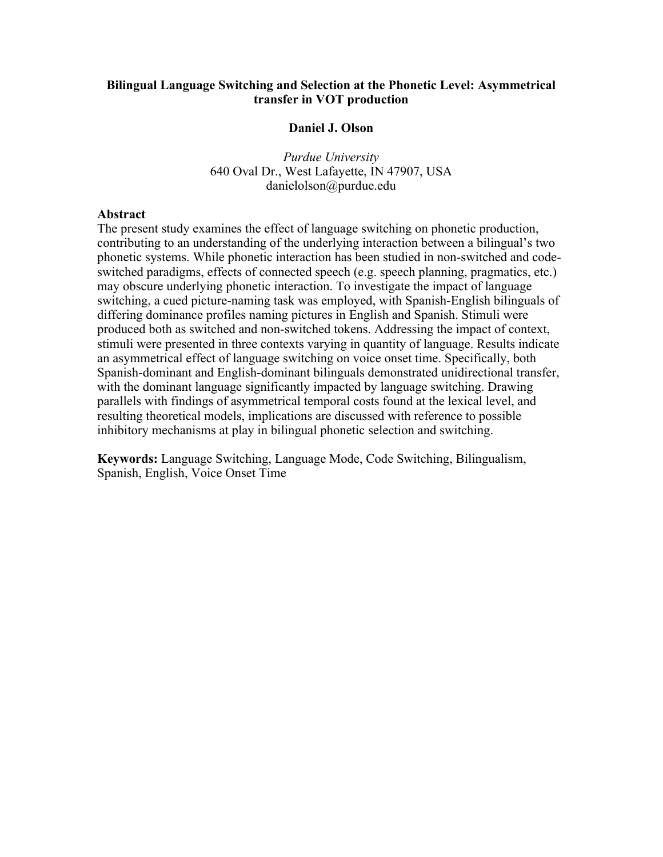## **Bilingual Language Switching and Selection at the Phonetic Level: Asymmetrical transfer in VOT production**

## **Daniel J. Olson**

*Purdue University* 640 Oval Dr., West Lafayette, IN 47907, USA danielolson@purdue.edu

## **Abstract**

The present study examines the effect of language switching on phonetic production, contributing to an understanding of the underlying interaction between a bilingual's two phonetic systems. While phonetic interaction has been studied in non-switched and codeswitched paradigms, effects of connected speech (e.g. speech planning, pragmatics, etc.) may obscure underlying phonetic interaction. To investigate the impact of language switching, a cued picture-naming task was employed, with Spanish-English bilinguals of differing dominance profiles naming pictures in English and Spanish. Stimuli were produced both as switched and non-switched tokens. Addressing the impact of context, stimuli were presented in three contexts varying in quantity of language. Results indicate an asymmetrical effect of language switching on voice onset time. Specifically, both Spanish-dominant and English-dominant bilinguals demonstrated unidirectional transfer, with the dominant language significantly impacted by language switching. Drawing parallels with findings of asymmetrical temporal costs found at the lexical level, and resulting theoretical models, implications are discussed with reference to possible inhibitory mechanisms at play in bilingual phonetic selection and switching.

**Keywords:** Language Switching, Language Mode, Code Switching, Bilingualism, Spanish, English, Voice Onset Time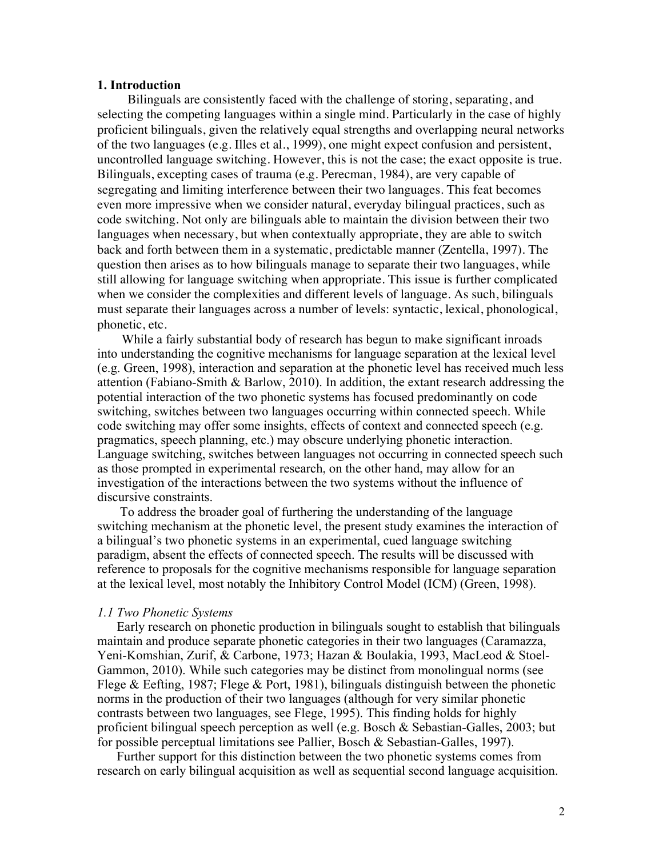## **1. Introduction**

Bilinguals are consistently faced with the challenge of storing, separating, and selecting the competing languages within a single mind. Particularly in the case of highly proficient bilinguals, given the relatively equal strengths and overlapping neural networks of the two languages (e.g. Illes et al., 1999), one might expect confusion and persistent, uncontrolled language switching. However, this is not the case; the exact opposite is true. Bilinguals, excepting cases of trauma (e.g. Perecman, 1984), are very capable of segregating and limiting interference between their two languages. This feat becomes even more impressive when we consider natural, everyday bilingual practices, such as code switching. Not only are bilinguals able to maintain the division between their two languages when necessary, but when contextually appropriate, they are able to switch back and forth between them in a systematic, predictable manner (Zentella, 1997). The question then arises as to how bilinguals manage to separate their two languages, while still allowing for language switching when appropriate. This issue is further complicated when we consider the complexities and different levels of language. As such, bilinguals must separate their languages across a number of levels: syntactic, lexical, phonological, phonetic, etc.

While a fairly substantial body of research has begun to make significant inroads into understanding the cognitive mechanisms for language separation at the lexical level (e.g. Green, 1998), interaction and separation at the phonetic level has received much less attention (Fabiano-Smith & Barlow, 2010). In addition, the extant research addressing the potential interaction of the two phonetic systems has focused predominantly on code switching, switches between two languages occurring within connected speech. While code switching may offer some insights, effects of context and connected speech (e.g. pragmatics, speech planning, etc.) may obscure underlying phonetic interaction. Language switching, switches between languages not occurring in connected speech such as those prompted in experimental research, on the other hand, may allow for an investigation of the interactions between the two systems without the influence of discursive constraints.

To address the broader goal of furthering the understanding of the language switching mechanism at the phonetic level, the present study examines the interaction of a bilingual's two phonetic systems in an experimental, cued language switching paradigm, absent the effects of connected speech. The results will be discussed with reference to proposals for the cognitive mechanisms responsible for language separation at the lexical level, most notably the Inhibitory Control Model (ICM) (Green, 1998).

#### *1.1 Two Phonetic Systems*

Early research on phonetic production in bilinguals sought to establish that bilinguals maintain and produce separate phonetic categories in their two languages (Caramazza, Yeni-Komshian, Zurif, & Carbone, 1973; Hazan & Boulakia, 1993, MacLeod & Stoel-Gammon, 2010). While such categories may be distinct from monolingual norms (see Flege & Eefting, 1987; Flege & Port, 1981), bilinguals distinguish between the phonetic norms in the production of their two languages (although for very similar phonetic contrasts between two languages, see Flege, 1995). This finding holds for highly proficient bilingual speech perception as well (e.g. Bosch & Sebastian-Galles, 2003; but for possible perceptual limitations see Pallier, Bosch & Sebastian-Galles, 1997).

Further support for this distinction between the two phonetic systems comes from research on early bilingual acquisition as well as sequential second language acquisition.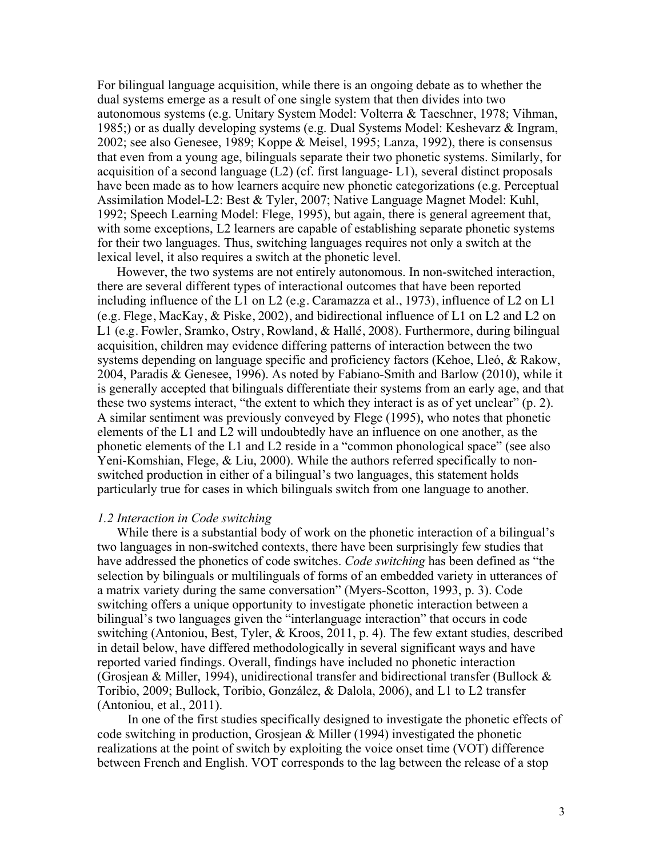For bilingual language acquisition, while there is an ongoing debate as to whether the dual systems emerge as a result of one single system that then divides into two autonomous systems (e.g. Unitary System Model: Volterra & Taeschner, 1978; Vihman, 1985;) or as dually developing systems (e.g. Dual Systems Model: Keshevarz & Ingram, 2002; see also Genesee, 1989; Koppe & Meisel, 1995; Lanza, 1992), there is consensus that even from a young age, bilinguals separate their two phonetic systems. Similarly, for acquisition of a second language (L2) (cf. first language- L1), several distinct proposals have been made as to how learners acquire new phonetic categorizations (e.g. Perceptual Assimilation Model-L2: Best & Tyler, 2007; Native Language Magnet Model: Kuhl, 1992; Speech Learning Model: Flege, 1995), but again, there is general agreement that, with some exceptions, L<sub>2</sub> learners are capable of establishing separate phonetic systems for their two languages. Thus, switching languages requires not only a switch at the lexical level, it also requires a switch at the phonetic level.

However, the two systems are not entirely autonomous. In non-switched interaction, there are several different types of interactional outcomes that have been reported including influence of the L1 on L2 (e.g. Caramazza et al., 1973), influence of L2 on L1 (e.g. Flege, MacKay, & Piske, 2002), and bidirectional influence of L1 on L2 and L2 on L1 (e.g. Fowler, Sramko, Ostry, Rowland, & Hallé, 2008). Furthermore, during bilingual acquisition, children may evidence differing patterns of interaction between the two systems depending on language specific and proficiency factors (Kehoe, Lleó, & Rakow, 2004, Paradis & Genesee, 1996). As noted by Fabiano-Smith and Barlow (2010), while it is generally accepted that bilinguals differentiate their systems from an early age, and that these two systems interact, "the extent to which they interact is as of yet unclear" (p. 2). A similar sentiment was previously conveyed by Flege (1995), who notes that phonetic elements of the L1 and L2 will undoubtedly have an influence on one another, as the phonetic elements of the L1 and L2 reside in a "common phonological space" (see also Yeni-Komshian, Flege, & Liu, 2000). While the authors referred specifically to nonswitched production in either of a bilingual's two languages, this statement holds particularly true for cases in which bilinguals switch from one language to another.

## *1.2 Interaction in Code switching*

While there is a substantial body of work on the phonetic interaction of a bilingual's two languages in non-switched contexts, there have been surprisingly few studies that have addressed the phonetics of code switches. *Code switching* has been defined as "the selection by bilinguals or multilinguals of forms of an embedded variety in utterances of a matrix variety during the same conversation" (Myers-Scotton, 1993, p. 3). Code switching offers a unique opportunity to investigate phonetic interaction between a bilingual's two languages given the "interlanguage interaction" that occurs in code switching (Antoniou, Best, Tyler, & Kroos, 2011, p. 4). The few extant studies, described in detail below, have differed methodologically in several significant ways and have reported varied findings. Overall, findings have included no phonetic interaction (Grosjean & Miller, 1994), unidirectional transfer and bidirectional transfer (Bullock  $\&$ Toribio, 2009; Bullock, Toribio, González, & Dalola, 2006), and L1 to L2 transfer (Antoniou, et al., 2011).

In one of the first studies specifically designed to investigate the phonetic effects of code switching in production, Grosjean & Miller (1994) investigated the phonetic realizations at the point of switch by exploiting the voice onset time (VOT) difference between French and English. VOT corresponds to the lag between the release of a stop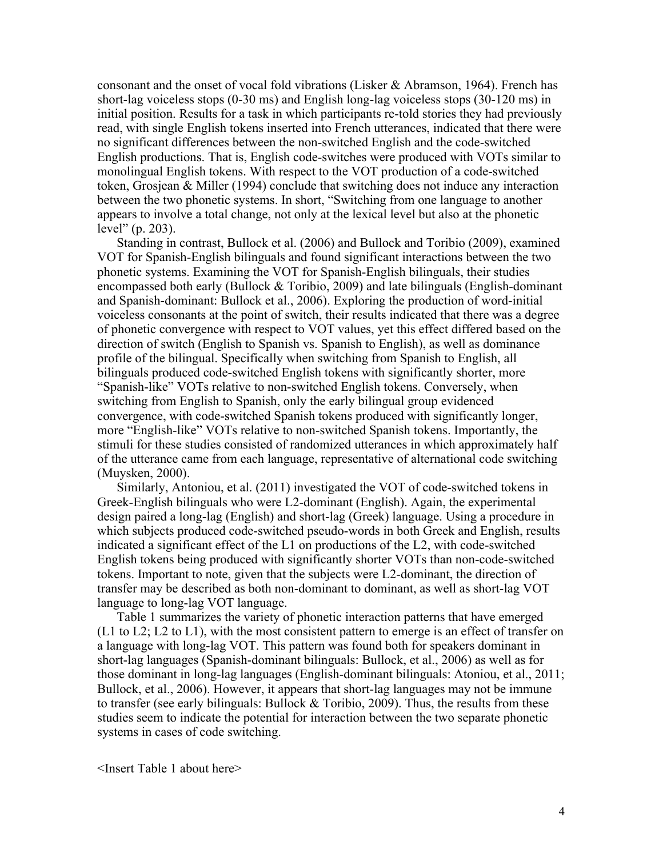consonant and the onset of vocal fold vibrations (Lisker & Abramson, 1964). French has short-lag voiceless stops (0-30 ms) and English long-lag voiceless stops (30-120 ms) in initial position. Results for a task in which participants re-told stories they had previously read, with single English tokens inserted into French utterances, indicated that there were no significant differences between the non-switched English and the code-switched English productions. That is, English code-switches were produced with VOTs similar to monolingual English tokens. With respect to the VOT production of a code-switched token, Grosjean & Miller (1994) conclude that switching does not induce any interaction between the two phonetic systems. In short, "Switching from one language to another appears to involve a total change, not only at the lexical level but also at the phonetic level" (p. 203).

Standing in contrast, Bullock et al. (2006) and Bullock and Toribio (2009), examined VOT for Spanish-English bilinguals and found significant interactions between the two phonetic systems. Examining the VOT for Spanish-English bilinguals, their studies encompassed both early (Bullock & Toribio, 2009) and late bilinguals (English-dominant and Spanish-dominant: Bullock et al., 2006). Exploring the production of word-initial voiceless consonants at the point of switch, their results indicated that there was a degree of phonetic convergence with respect to VOT values, yet this effect differed based on the direction of switch (English to Spanish vs. Spanish to English), as well as dominance profile of the bilingual. Specifically when switching from Spanish to English, all bilinguals produced code-switched English tokens with significantly shorter, more "Spanish-like" VOTs relative to non-switched English tokens. Conversely, when switching from English to Spanish, only the early bilingual group evidenced convergence, with code-switched Spanish tokens produced with significantly longer, more "English-like" VOTs relative to non-switched Spanish tokens. Importantly, the stimuli for these studies consisted of randomized utterances in which approximately half of the utterance came from each language, representative of alternational code switching (Muysken, 2000).

Similarly, Antoniou, et al. (2011) investigated the VOT of code-switched tokens in Greek-English bilinguals who were L2-dominant (English). Again, the experimental design paired a long-lag (English) and short-lag (Greek) language. Using a procedure in which subjects produced code-switched pseudo-words in both Greek and English, results indicated a significant effect of the L1 on productions of the L2, with code-switched English tokens being produced with significantly shorter VOTs than non-code-switched tokens. Important to note, given that the subjects were L2-dominant, the direction of transfer may be described as both non-dominant to dominant, as well as short-lag VOT language to long-lag VOT language.

Table 1 summarizes the variety of phonetic interaction patterns that have emerged (L1 to L2; L2 to L1), with the most consistent pattern to emerge is an effect of transfer on a language with long-lag VOT. This pattern was found both for speakers dominant in short-lag languages (Spanish-dominant bilinguals: Bullock, et al., 2006) as well as for those dominant in long-lag languages (English-dominant bilinguals: Atoniou, et al., 2011; Bullock, et al., 2006). However, it appears that short-lag languages may not be immune to transfer (see early bilinguals: Bullock & Toribio, 2009). Thus, the results from these studies seem to indicate the potential for interaction between the two separate phonetic systems in cases of code switching.

<Insert Table 1 about here>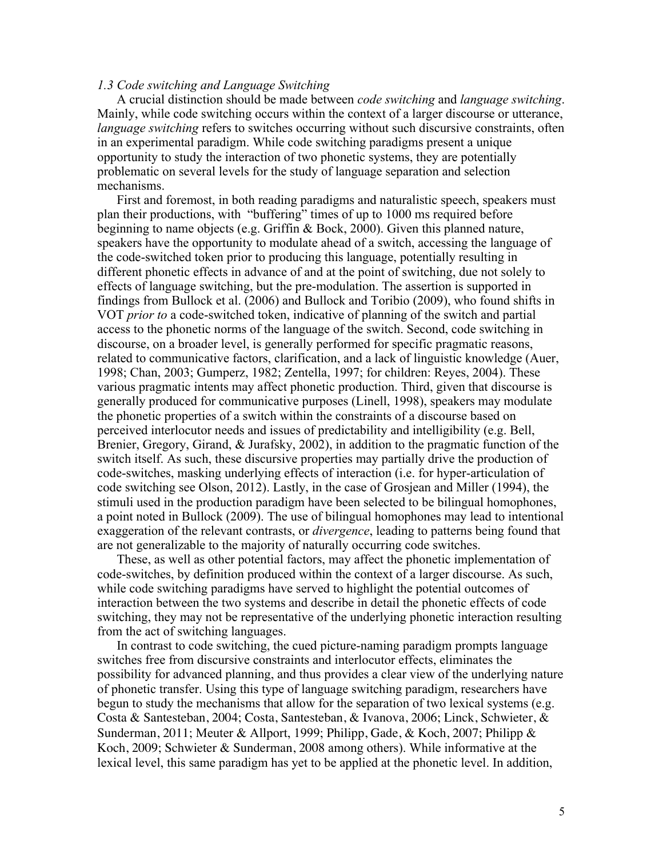## *1.3 Code switching and Language Switching*

A crucial distinction should be made between *code switching* and *language switching*. Mainly, while code switching occurs within the context of a larger discourse or utterance, *language switching* refers to switches occurring without such discursive constraints, often in an experimental paradigm. While code switching paradigms present a unique opportunity to study the interaction of two phonetic systems, they are potentially problematic on several levels for the study of language separation and selection mechanisms.

First and foremost, in both reading paradigms and naturalistic speech, speakers must plan their productions, with "buffering" times of up to 1000 ms required before beginning to name objects (e.g. Griffin & Bock, 2000). Given this planned nature, speakers have the opportunity to modulate ahead of a switch, accessing the language of the code-switched token prior to producing this language, potentially resulting in different phonetic effects in advance of and at the point of switching, due not solely to effects of language switching, but the pre-modulation. The assertion is supported in findings from Bullock et al. (2006) and Bullock and Toribio (2009), who found shifts in VOT *prior to* a code-switched token, indicative of planning of the switch and partial access to the phonetic norms of the language of the switch. Second, code switching in discourse, on a broader level, is generally performed for specific pragmatic reasons, related to communicative factors, clarification, and a lack of linguistic knowledge (Auer, 1998; Chan, 2003; Gumperz, 1982; Zentella, 1997; for children: Reyes, 2004). These various pragmatic intents may affect phonetic production. Third, given that discourse is generally produced for communicative purposes (Linell, 1998), speakers may modulate the phonetic properties of a switch within the constraints of a discourse based on perceived interlocutor needs and issues of predictability and intelligibility (e.g. Bell, Brenier, Gregory, Girand, & Jurafsky, 2002), in addition to the pragmatic function of the switch itself. As such, these discursive properties may partially drive the production of code-switches, masking underlying effects of interaction (i.e. for hyper-articulation of code switching see Olson, 2012). Lastly, in the case of Grosjean and Miller (1994), the stimuli used in the production paradigm have been selected to be bilingual homophones, a point noted in Bullock (2009). The use of bilingual homophones may lead to intentional exaggeration of the relevant contrasts, or *divergence*, leading to patterns being found that are not generalizable to the majority of naturally occurring code switches.

These, as well as other potential factors, may affect the phonetic implementation of code-switches, by definition produced within the context of a larger discourse. As such, while code switching paradigms have served to highlight the potential outcomes of interaction between the two systems and describe in detail the phonetic effects of code switching, they may not be representative of the underlying phonetic interaction resulting from the act of switching languages.

In contrast to code switching, the cued picture-naming paradigm prompts language switches free from discursive constraints and interlocutor effects, eliminates the possibility for advanced planning, and thus provides a clear view of the underlying nature of phonetic transfer. Using this type of language switching paradigm, researchers have begun to study the mechanisms that allow for the separation of two lexical systems (e.g. Costa & Santesteban, 2004; Costa, Santesteban, & Ivanova, 2006; Linck, Schwieter, & Sunderman, 2011; Meuter & Allport, 1999; Philipp, Gade, & Koch, 2007; Philipp & Koch, 2009; Schwieter & Sunderman, 2008 among others). While informative at the lexical level, this same paradigm has yet to be applied at the phonetic level. In addition,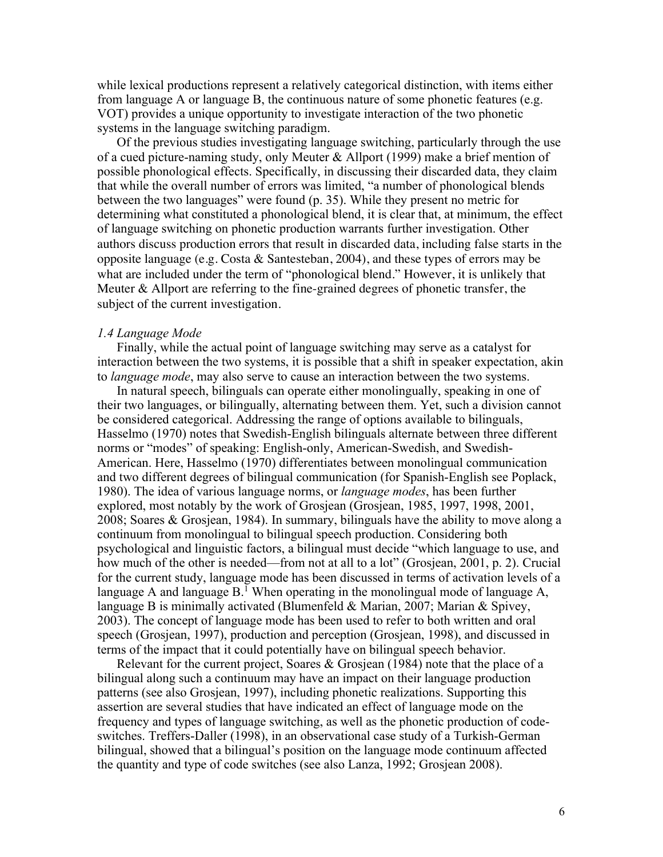while lexical productions represent a relatively categorical distinction, with items either from language A or language B, the continuous nature of some phonetic features (e.g. VOT) provides a unique opportunity to investigate interaction of the two phonetic systems in the language switching paradigm.

Of the previous studies investigating language switching, particularly through the use of a cued picture-naming study, only Meuter & Allport (1999) make a brief mention of possible phonological effects. Specifically, in discussing their discarded data, they claim that while the overall number of errors was limited, "a number of phonological blends between the two languages" were found (p. 35). While they present no metric for determining what constituted a phonological blend, it is clear that, at minimum, the effect of language switching on phonetic production warrants further investigation. Other authors discuss production errors that result in discarded data, including false starts in the opposite language (e.g. Costa & Santesteban, 2004), and these types of errors may be what are included under the term of "phonological blend." However, it is unlikely that Meuter & Allport are referring to the fine-grained degrees of phonetic transfer, the subject of the current investigation.

#### *1.4 Language Mode*

Finally, while the actual point of language switching may serve as a catalyst for interaction between the two systems, it is possible that a shift in speaker expectation, akin to *language mode*, may also serve to cause an interaction between the two systems.

In natural speech, bilinguals can operate either monolingually, speaking in one of their two languages, or bilingually, alternating between them. Yet, such a division cannot be considered categorical. Addressing the range of options available to bilinguals, Hasselmo (1970) notes that Swedish-English bilinguals alternate between three different norms or "modes" of speaking: English-only, American-Swedish, and Swedish-American. Here, Hasselmo (1970) differentiates between monolingual communication and two different degrees of bilingual communication (for Spanish-English see Poplack, 1980). The idea of various language norms, or *language modes*, has been further explored, most notably by the work of Grosjean (Grosjean, 1985, 1997, 1998, 2001, 2008; Soares & Grosjean, 1984). In summary, bilinguals have the ability to move along a continuum from monolingual to bilingual speech production. Considering both psychological and linguistic factors, a bilingual must decide "which language to use, and how much of the other is needed—from not at all to a lot" (Grosjean, 2001, p. 2). Crucial for the current study, language mode has been discussed in terms of activation levels of a language A and language  $B$ .<sup> $\bar{I}$ </sup> When operating in the monolingual mode of language A, language B is minimally activated (Blumenfeld & Marian, 2007; Marian & Spivey, 2003). The concept of language mode has been used to refer to both written and oral speech (Grosjean, 1997), production and perception (Grosjean, 1998), and discussed in terms of the impact that it could potentially have on bilingual speech behavior.

Relevant for the current project, Soares & Grosjean (1984) note that the place of a bilingual along such a continuum may have an impact on their language production patterns (see also Grosjean, 1997), including phonetic realizations. Supporting this assertion are several studies that have indicated an effect of language mode on the frequency and types of language switching, as well as the phonetic production of codeswitches. Treffers-Daller (1998), in an observational case study of a Turkish-German bilingual, showed that a bilingual's position on the language mode continuum affected the quantity and type of code switches (see also Lanza, 1992; Grosjean 2008).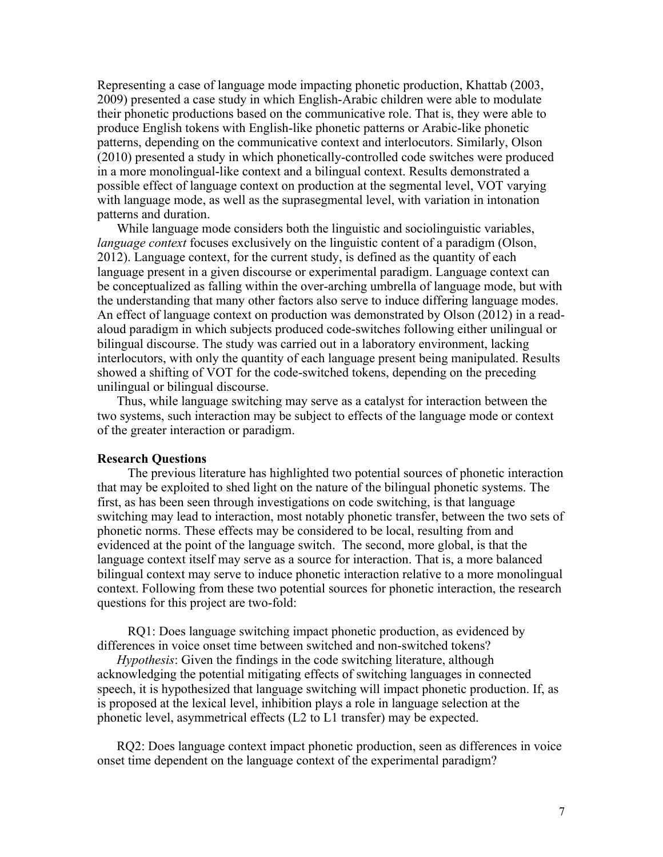Representing a case of language mode impacting phonetic production, Khattab (2003, 2009) presented a case study in which English-Arabic children were able to modulate their phonetic productions based on the communicative role. That is, they were able to produce English tokens with English-like phonetic patterns or Arabic-like phonetic patterns, depending on the communicative context and interlocutors. Similarly, Olson (2010) presented a study in which phonetically-controlled code switches were produced in a more monolingual-like context and a bilingual context. Results demonstrated a possible effect of language context on production at the segmental level, VOT varying with language mode, as well as the suprasegmental level, with variation in intonation patterns and duration.

While language mode considers both the linguistic and sociolinguistic variables, *language context* focuses exclusively on the linguistic content of a paradigm (Olson, 2012). Language context, for the current study, is defined as the quantity of each language present in a given discourse or experimental paradigm. Language context can be conceptualized as falling within the over-arching umbrella of language mode, but with the understanding that many other factors also serve to induce differing language modes. An effect of language context on production was demonstrated by Olson (2012) in a readaloud paradigm in which subjects produced code-switches following either unilingual or bilingual discourse. The study was carried out in a laboratory environment, lacking interlocutors, with only the quantity of each language present being manipulated. Results showed a shifting of VOT for the code-switched tokens, depending on the preceding unilingual or bilingual discourse.

Thus, while language switching may serve as a catalyst for interaction between the two systems, such interaction may be subject to effects of the language mode or context of the greater interaction or paradigm.

#### **Research Questions**

The previous literature has highlighted two potential sources of phonetic interaction that may be exploited to shed light on the nature of the bilingual phonetic systems. The first, as has been seen through investigations on code switching, is that language switching may lead to interaction, most notably phonetic transfer, between the two sets of phonetic norms. These effects may be considered to be local, resulting from and evidenced at the point of the language switch. The second, more global, is that the language context itself may serve as a source for interaction. That is, a more balanced bilingual context may serve to induce phonetic interaction relative to a more monolingual context. Following from these two potential sources for phonetic interaction, the research questions for this project are two-fold:

RQ1: Does language switching impact phonetic production, as evidenced by differences in voice onset time between switched and non-switched tokens?

*Hypothesis*: Given the findings in the code switching literature, although acknowledging the potential mitigating effects of switching languages in connected speech, it is hypothesized that language switching will impact phonetic production. If, as is proposed at the lexical level, inhibition plays a role in language selection at the phonetic level, asymmetrical effects (L2 to L1 transfer) may be expected.

RQ2: Does language context impact phonetic production, seen as differences in voice onset time dependent on the language context of the experimental paradigm?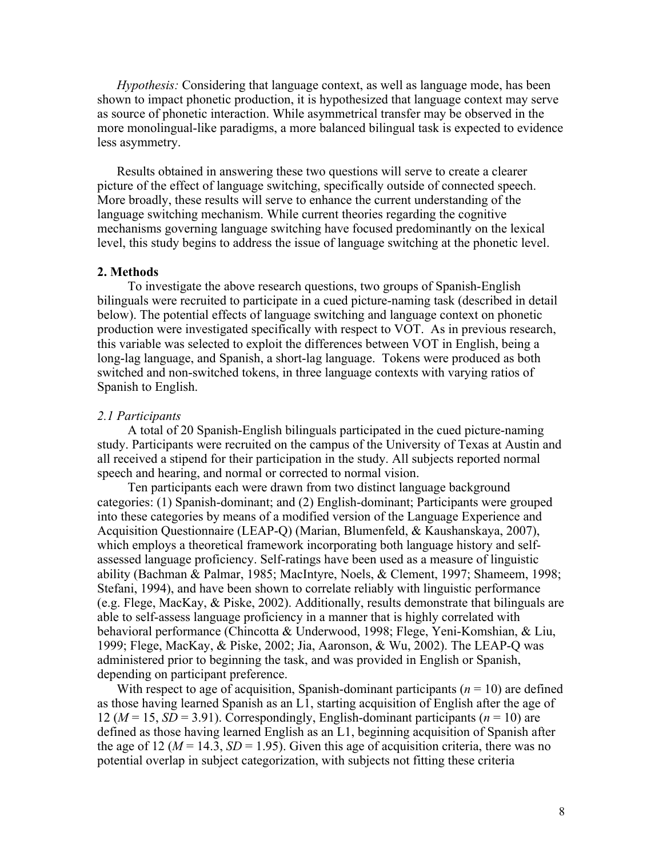*Hypothesis:* Considering that language context, as well as language mode, has been shown to impact phonetic production, it is hypothesized that language context may serve as source of phonetic interaction. While asymmetrical transfer may be observed in the more monolingual-like paradigms, a more balanced bilingual task is expected to evidence less asymmetry.

Results obtained in answering these two questions will serve to create a clearer picture of the effect of language switching, specifically outside of connected speech. More broadly, these results will serve to enhance the current understanding of the language switching mechanism. While current theories regarding the cognitive mechanisms governing language switching have focused predominantly on the lexical level, this study begins to address the issue of language switching at the phonetic level.

#### **2. Methods**

To investigate the above research questions, two groups of Spanish-English bilinguals were recruited to participate in a cued picture-naming task (described in detail below). The potential effects of language switching and language context on phonetic production were investigated specifically with respect to VOT. As in previous research, this variable was selected to exploit the differences between VOT in English, being a long-lag language, and Spanish, a short-lag language. Tokens were produced as both switched and non-switched tokens, in three language contexts with varying ratios of Spanish to English.

#### *2.1 Participants*

A total of 20 Spanish-English bilinguals participated in the cued picture-naming study. Participants were recruited on the campus of the University of Texas at Austin and all received a stipend for their participation in the study. All subjects reported normal speech and hearing, and normal or corrected to normal vision.

Ten participants each were drawn from two distinct language background categories: (1) Spanish-dominant; and (2) English-dominant; Participants were grouped into these categories by means of a modified version of the Language Experience and Acquisition Questionnaire (LEAP-Q) (Marian, Blumenfeld, & Kaushanskaya, 2007), which employs a theoretical framework incorporating both language history and selfassessed language proficiency. Self-ratings have been used as a measure of linguistic ability (Bachman & Palmar, 1985; MacIntyre, Noels, & Clement, 1997; Shameem, 1998; Stefani, 1994), and have been shown to correlate reliably with linguistic performance (e.g. Flege, MacKay, & Piske, 2002). Additionally, results demonstrate that bilinguals are able to self-assess language proficiency in a manner that is highly correlated with behavioral performance (Chincotta & Underwood, 1998; Flege, Yeni-Komshian, & Liu, 1999; Flege, MacKay, & Piske, 2002; Jia, Aaronson, & Wu, 2002). The LEAP-Q was administered prior to beginning the task, and was provided in English or Spanish, depending on participant preference.

With respect to age of acquisition, Spanish-dominant participants  $(n = 10)$  are defined as those having learned Spanish as an L1, starting acquisition of English after the age of 12 ( $M = 15$ ,  $SD = 3.91$ ). Correspondingly, English-dominant participants ( $n = 10$ ) are defined as those having learned English as an L1, beginning acquisition of Spanish after the age of 12 ( $M = 14.3$ ,  $SD = 1.95$ ). Given this age of acquisition criteria, there was no potential overlap in subject categorization, with subjects not fitting these criteria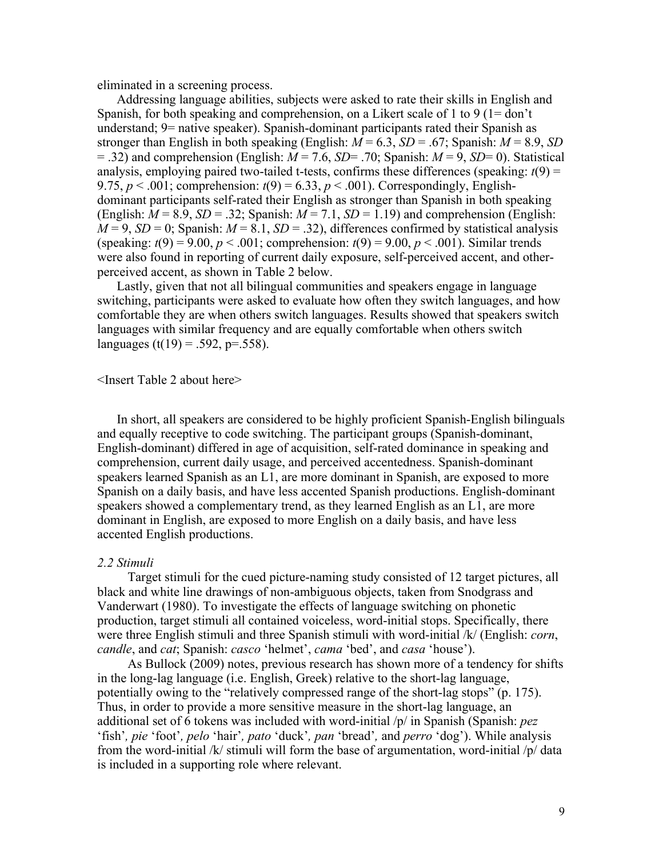eliminated in a screening process.

Addressing language abilities, subjects were asked to rate their skills in English and Spanish, for both speaking and comprehension, on a Likert scale of 1 to 9 ( $1 = don't$ ) understand; 9= native speaker). Spanish-dominant participants rated their Spanish as stronger than English in both speaking (English:  $M = 6.3$ ,  $SD = .67$ ; Spanish:  $M = 8.9$ , *SD*  $=$ .32) and comprehension (English:  $M = 7.6$ ,  $SD = .70$ ; Spanish:  $M = 9$ ,  $SD = 0$ ). Statistical analysis, employing paired two-tailed t-tests, confirms these differences (speaking: *t*(9) = 9.75,  $p < .001$ ; comprehension:  $t(9) = 6.33$ ,  $p < .001$ ). Correspondingly, Englishdominant participants self-rated their English as stronger than Spanish in both speaking (English:  $M = 8.9$ ,  $SD = 0.32$ ; Spanish:  $M = 7.1$ ,  $SD = 1.19$ ) and comprehension (English:  $M = 9$ ,  $SD = 0$ ; Spanish:  $M = 8.1$ ,  $SD = .32$ ), differences confirmed by statistical analysis (speaking:  $t(9) = 9.00$ ,  $p < .001$ ; comprehension:  $t(9) = 9.00$ ,  $p < .001$ ). Similar trends were also found in reporting of current daily exposure, self-perceived accent, and otherperceived accent, as shown in Table 2 below.

Lastly, given that not all bilingual communities and speakers engage in language switching, participants were asked to evaluate how often they switch languages, and how comfortable they are when others switch languages. Results showed that speakers switch languages with similar frequency and are equally comfortable when others switch languages (t(19) = .592, p=.558).

#### <Insert Table 2 about here>

In short, all speakers are considered to be highly proficient Spanish-English bilinguals and equally receptive to code switching. The participant groups (Spanish-dominant, English-dominant) differed in age of acquisition, self-rated dominance in speaking and comprehension, current daily usage, and perceived accentedness. Spanish-dominant speakers learned Spanish as an L1, are more dominant in Spanish, are exposed to more Spanish on a daily basis, and have less accented Spanish productions. English-dominant speakers showed a complementary trend, as they learned English as an L1, are more dominant in English, are exposed to more English on a daily basis, and have less accented English productions.

#### *2.2 Stimuli*

Target stimuli for the cued picture-naming study consisted of 12 target pictures, all black and white line drawings of non-ambiguous objects, taken from Snodgrass and Vanderwart (1980). To investigate the effects of language switching on phonetic production, target stimuli all contained voiceless, word-initial stops. Specifically, there were three English stimuli and three Spanish stimuli with word-initial /k/ (English: *corn*, *candle*, and *cat*; Spanish: *casco* 'helmet', *cama* 'bed', and *casa* 'house').

As Bullock (2009) notes, previous research has shown more of a tendency for shifts in the long-lag language (i.e. English, Greek) relative to the short-lag language, potentially owing to the "relatively compressed range of the short-lag stops" (p. 175). Thus, in order to provide a more sensitive measure in the short-lag language, an additional set of 6 tokens was included with word-initial /p/ in Spanish (Spanish: *pez*  'fish'*, pie* 'foot'*, pelo* 'hair'*, pato* 'duck'*, pan* 'bread'*,* and *perro* 'dog'). While analysis from the word-initial /k/ stimuli will form the base of argumentation, word-initial /p/ data is included in a supporting role where relevant.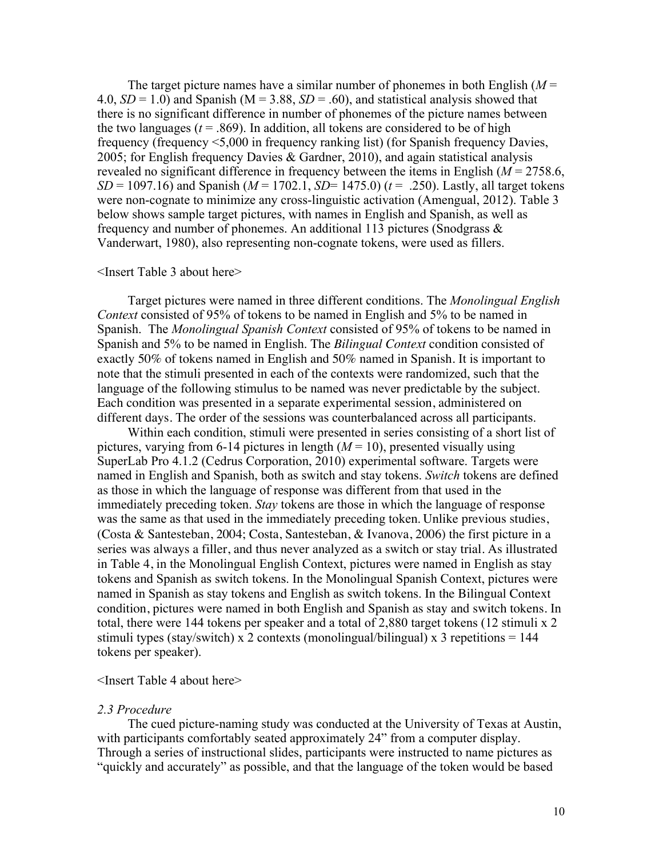The target picture names have a similar number of phonemes in both English (*M* = 4.0,  $SD = 1.0$ ) and Spanish ( $M = 3.88$ ,  $SD = .60$ ), and statistical analysis showed that there is no significant difference in number of phonemes of the picture names between the two languages  $(t = .869)$ . In addition, all tokens are considered to be of high frequency (frequency <5,000 in frequency ranking list) (for Spanish frequency Davies, 2005; for English frequency Davies & Gardner, 2010), and again statistical analysis revealed no significant difference in frequency between the items in English (*M* = 2758.6,  $SD = 1097.16$ ) and Spanish ( $M = 1702.1$ ,  $SD = 1475.0$ ) ( $t = .250$ ). Lastly, all target tokens were non-cognate to minimize any cross-linguistic activation (Amengual, 2012). Table 3 below shows sample target pictures, with names in English and Spanish, as well as frequency and number of phonemes. An additional 113 pictures (Snodgrass & Vanderwart, 1980), also representing non-cognate tokens, were used as fillers.

#### <Insert Table 3 about here>

Target pictures were named in three different conditions. The *Monolingual English Context* consisted of 95% of tokens to be named in English and 5% to be named in Spanish. The *Monolingual Spanish Context* consisted of 95% of tokens to be named in Spanish and 5% to be named in English. The *Bilingual Context* condition consisted of exactly 50% of tokens named in English and 50% named in Spanish. It is important to note that the stimuli presented in each of the contexts were randomized, such that the language of the following stimulus to be named was never predictable by the subject. Each condition was presented in a separate experimental session, administered on different days. The order of the sessions was counterbalanced across all participants.

Within each condition, stimuli were presented in series consisting of a short list of pictures, varying from 6-14 pictures in length  $(M = 10)$ , presented visually using SuperLab Pro 4.1.2 (Cedrus Corporation, 2010) experimental software. Targets were named in English and Spanish, both as switch and stay tokens. *Switch* tokens are defined as those in which the language of response was different from that used in the immediately preceding token. *Stay* tokens are those in which the language of response was the same as that used in the immediately preceding token. Unlike previous studies, (Costa & Santesteban, 2004; Costa, Santesteban, & Ivanova, 2006) the first picture in a series was always a filler, and thus never analyzed as a switch or stay trial. As illustrated in Table 4, in the Monolingual English Context, pictures were named in English as stay tokens and Spanish as switch tokens. In the Monolingual Spanish Context, pictures were named in Spanish as stay tokens and English as switch tokens. In the Bilingual Context condition, pictures were named in both English and Spanish as stay and switch tokens. In total, there were 144 tokens per speaker and a total of 2,880 target tokens (12 stimuli x 2 stimuli types (stay/switch) x 2 contexts (monolingual/bilingual) x 3 repetitions =  $144$ tokens per speaker).

#### <Insert Table 4 about here>

#### *2.3 Procedure*

The cued picture-naming study was conducted at the University of Texas at Austin, with participants comfortably seated approximately 24" from a computer display. Through a series of instructional slides, participants were instructed to name pictures as "quickly and accurately" as possible, and that the language of the token would be based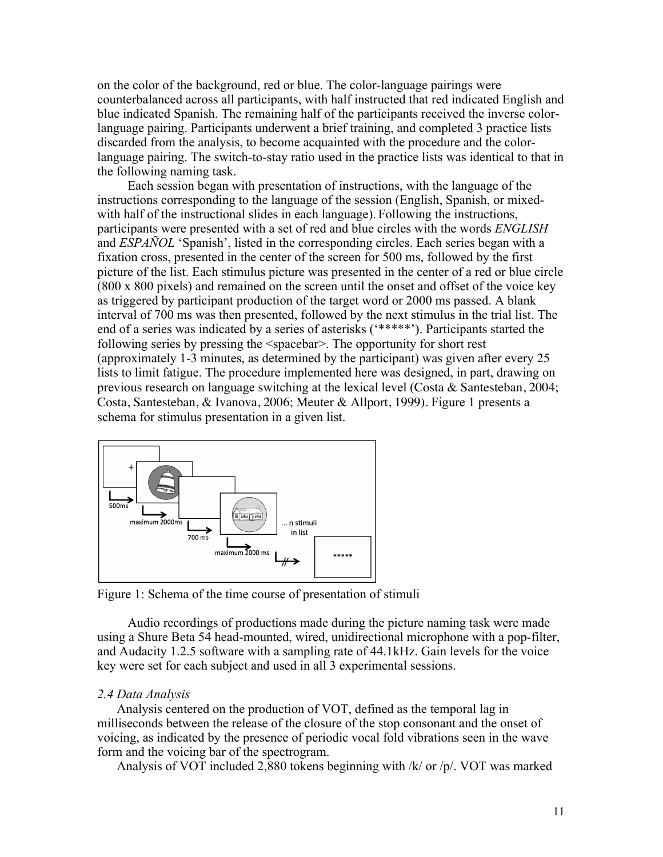on the color of the background, red or blue. The color-language pairings were counterbalanced across all participants, with half instructed that red indicated English and blue indicated Spanish. The remaining half of the participants received the inverse colorlanguage pairing. Participants underwent a brief training, and completed 3 practice lists discarded from the analysis, to become acquainted with the procedure and the colorlanguage pairing. The switch-to-stay ratio used in the practice lists was identical to that in the following naming task.

Each session began with presentation of instructions, with the language of the instructions corresponding to the language of the session (English, Spanish, or mixedwith half of the instructional slides in each language). Following the instructions, participants were presented with a set of red and blue circles with the words *ENGLISH*  and *ESPAÑOL* 'Spanish', listed in the corresponding circles. Each series began with a fixation cross, presented in the center of the screen for 500 ms, followed by the first picture of the list. Each stimulus picture was presented in the center of a red or blue circle (800 x 800 pixels) and remained on the screen until the onset and offset of the voice key as triggered by participant production of the target word or 2000 ms passed. A blank interval of 700 ms was then presented, followed by the next stimulus in the trial list. The end of a series was indicated by a series of asterisks ('\*\*\*\*\*'). Participants started the following series by pressing the <spacebar>. The opportunity for short rest (approximately 1-3 minutes, as determined by the participant) was given after every 25 lists to limit fatigue. The procedure implemented here was designed, in part, drawing on previous research on language switching at the lexical level (Costa & Santesteban, 2004; Costa, Santesteban, & Ivanova, 2006; Meuter & Allport, 1999). Figure 1 presents a schema for stimulus presentation in a given list.



Figure 1: Schema of the time course of presentation of stimuli

Audio recordings of productions made during the picture naming task were made using a Shure Beta 54 head-mounted, wired, unidirectional microphone with a pop-filter, and Audacity 1.2.5 software with a sampling rate of 44.1kHz. Gain levels for the voice key were set for each subject and used in all 3 experimental sessions.

## *2.4 Data Analysis*

Analysis centered on the production of VOT, defined as the temporal lag in milliseconds between the release of the closure of the stop consonant and the onset of voicing, as indicated by the presence of periodic vocal fold vibrations seen in the wave form and the voicing bar of the spectrogram.

Analysis of VOT included 2,880 tokens beginning with /k/ or /p/. VOT was marked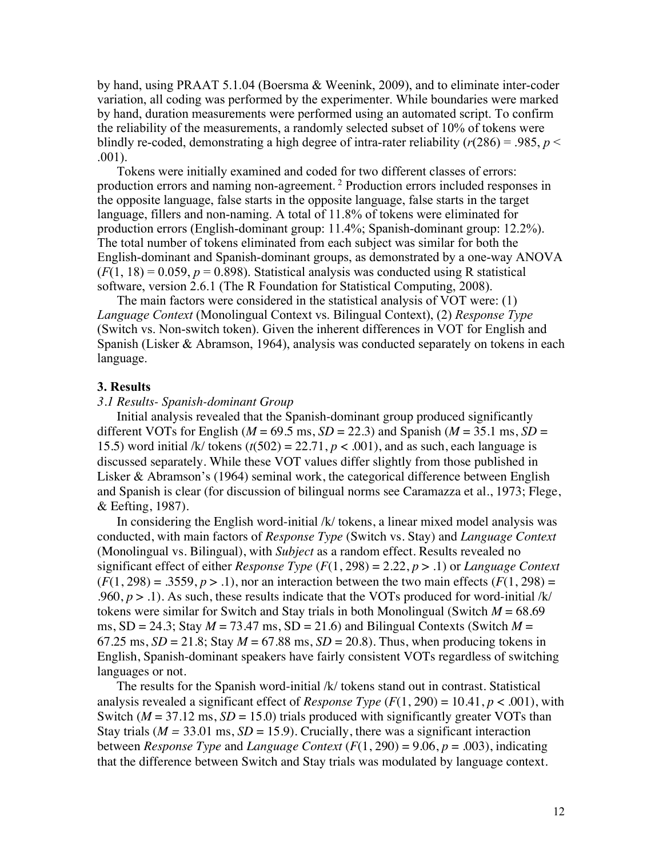by hand, using PRAAT 5.1.04 (Boersma & Weenink, 2009), and to eliminate inter-coder variation, all coding was performed by the experimenter. While boundaries were marked by hand, duration measurements were performed using an automated script. To confirm the reliability of the measurements, a randomly selected subset of 10% of tokens were blindly re-coded, demonstrating a high degree of intra-rater reliability ( $r(286) = .985$ ,  $p <$ .001).

Tokens were initially examined and coded for two different classes of errors: production errors and naming non-agreement. <sup>2</sup> Production errors included responses in the opposite language, false starts in the opposite language, false starts in the target language, fillers and non-naming. A total of 11.8% of tokens were eliminated for production errors (English-dominant group: 11.4%; Spanish-dominant group: 12.2%). The total number of tokens eliminated from each subject was similar for both the English-dominant and Spanish-dominant groups, as demonstrated by a one-way ANOVA  $(F(1, 18) = 0.059, p = 0.898)$ . Statistical analysis was conducted using R statistical software, version 2.6.1 (The R Foundation for Statistical Computing, 2008).

The main factors were considered in the statistical analysis of VOT were: (1) *Language Context* (Monolingual Context vs. Bilingual Context), (2) *Response Type* (Switch vs. Non-switch token). Given the inherent differences in VOT for English and Spanish (Lisker & Abramson, 1964), analysis was conducted separately on tokens in each language.

#### **3. Results**

## *3.1 Results- Spanish-dominant Group*

Initial analysis revealed that the Spanish-dominant group produced significantly different VOTs for English ( $M = 69.5$  ms,  $SD = 22.3$ ) and Spanish ( $M = 35.1$  ms,  $SD =$ 15.5) word initial /k/ tokens  $(t(502) = 22.71, p < .001)$ , and as such, each language is discussed separately. While these VOT values differ slightly from those published in Lisker & Abramson's (1964) seminal work, the categorical difference between English and Spanish is clear (for discussion of bilingual norms see Caramazza et al., 1973; Flege, & Eefting, 1987).

In considering the English word-initial /k/ tokens, a linear mixed model analysis was conducted, with main factors of *Response Type* (Switch vs. Stay) and *Language Context*  (Monolingual vs. Bilingual), with *Subject* as a random effect. Results revealed no significant effect of either *Response Type* (*F*(1, 298) = 2.22, *p* > .1) or *Language Context*  $(F(1, 298) = .3559, p > .1)$ , nor an interaction between the two main effects  $(F(1, 298)) =$ .960,  $p > 0.1$ ). As such, these results indicate that the VOTs produced for word-initial /k/ tokens were similar for Switch and Stay trials in both Monolingual (Switch  $M = 68.69$ ) ms,  $SD = 24.3$ ; Stay  $M = 73.47$  ms,  $SD = 21.6$ ) and Bilingual Contexts (Switch  $M =$ 67.25 ms,  $SD = 21.8$ ; Stay  $M = 67.88$  ms,  $SD = 20.8$ ). Thus, when producing tokens in English, Spanish-dominant speakers have fairly consistent VOTs regardless of switching languages or not.

The results for the Spanish word-initial /k/ tokens stand out in contrast. Statistical analysis revealed a significant effect of *Response Type*  $(F(1, 290) = 10.41, p < .001)$ , with Switch  $(M = 37.12 \text{ ms}, SD = 15.0)$  trials produced with significantly greater VOTs than Stay trials ( $M = 33.01$  ms,  $SD = 15.9$ ). Crucially, there was a significant interaction between *Response Type* and *Language Context*  $(F(1, 290) = 9.06, p = .003)$ , indicating that the difference between Switch and Stay trials was modulated by language context.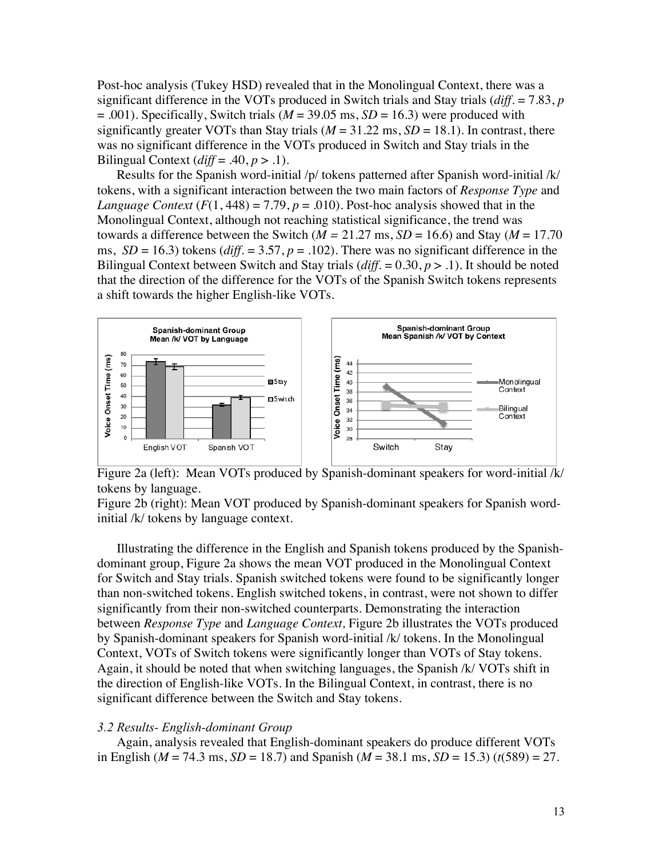Post-hoc analysis (Tukey HSD) revealed that in the Monolingual Context, there was a significant difference in the VOTs produced in Switch trials and Stay trials (*diff*. = 7.83, *p*   $= .001$ ). Specifically, Switch trials ( $M = 39.05$  ms,  $SD = 16.3$ ) were produced with significantly greater VOTs than Stay trials  $(M = 31.22 \text{ ms}, SD = 18.1)$ . In contrast, there was no significant difference in the VOTs produced in Switch and Stay trials in the Bilingual Context  $\left(\text{diff} = .40, p > .1\right)$ .

Results for the Spanish word-initial /p/ tokens patterned after Spanish word-initial /k/ tokens, with a significant interaction between the two main factors of *Response Type* and *Language Context* ( $F(1, 448) = 7.79$ ,  $p = .010$ ). Post-hoc analysis showed that in the Monolingual Context, although not reaching statistical significance, the trend was towards a difference between the Switch ( $M = 21.27$  ms,  $SD = 16.6$ ) and Stay ( $M = 17.70$ ms,  $SD = 16.3$ ) tokens ( $diff. = 3.57$ ,  $p = .102$ ). There was no significant difference in the Bilingual Context between Switch and Stay trials (*diff.* = 0.30, *p* > .1). It should be noted that the direction of the difference for the VOTs of the Spanish Switch tokens represents a shift towards the higher English-like VOTs.



Figure 2a (left): Mean VOTs produced by Spanish-dominant speakers for word-initial /k/ tokens by language.

Figure 2b (right): Mean VOT produced by Spanish-dominant speakers for Spanish wordinitial /k/ tokens by language context.

Illustrating the difference in the English and Spanish tokens produced by the Spanishdominant group, Figure 2a shows the mean VOT produced in the Monolingual Context for Switch and Stay trials. Spanish switched tokens were found to be significantly longer than non-switched tokens. English switched tokens, in contrast, were not shown to differ significantly from their non-switched counterparts. Demonstrating the interaction between *Response Type* and *Language Context,* Figure 2b illustrates the VOTs produced by Spanish-dominant speakers for Spanish word-initial /k/ tokens. In the Monolingual Context, VOTs of Switch tokens were significantly longer than VOTs of Stay tokens. Again, it should be noted that when switching languages, the Spanish /k/ VOTs shift in the direction of English-like VOTs. In the Bilingual Context, in contrast, there is no significant difference between the Switch and Stay tokens.

#### *3.2 Results- English-dominant Group*

Again, analysis revealed that English-dominant speakers do produce different VOTs in English ( $M = 74.3$  ms,  $SD = 18.7$ ) and Spanish ( $M = 38.1$  ms,  $SD = 15.3$ ) ( $t(589) = 27$ .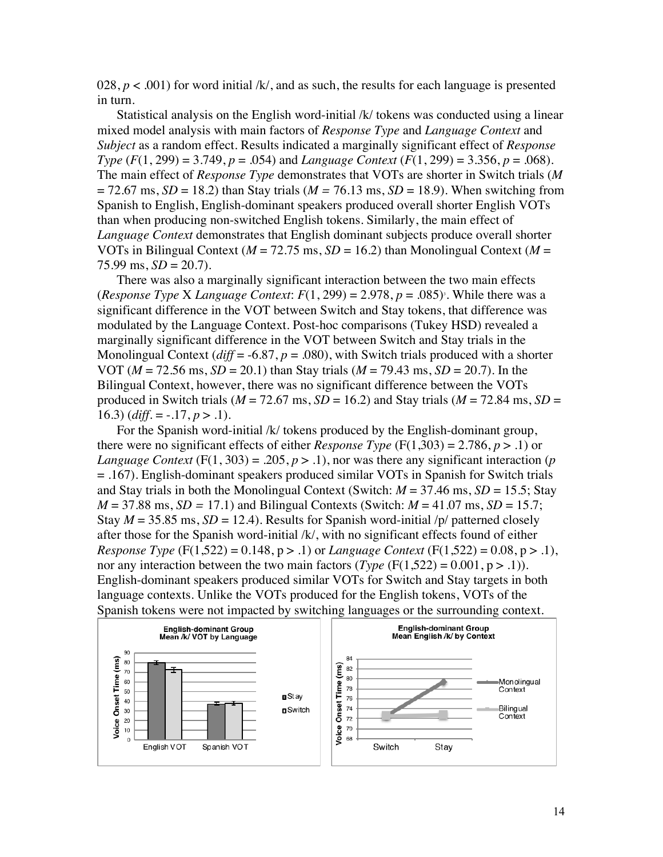028,  $p < .001$ ) for word initial /k/, and as such, the results for each language is presented in turn.

Statistical analysis on the English word-initial /k/ tokens was conducted using a linear mixed model analysis with main factors of *Response Type* and *Language Context* and *Subject* as a random effect. Results indicated a marginally significant effect of *Response Type*  $(F(1, 299) = 3.749$ ,  $p = .054$ ) and *Language Context*  $(F(1, 299) = 3.356$ ,  $p = .068$ ). The main effect of *Response Type* demonstrates that VOTs are shorter in Switch trials (*M* = 72.67 ms, *SD* = 18.2) than Stay trials (*M =* 76.13 ms, *SD* = 18.9). When switching from Spanish to English, English-dominant speakers produced overall shorter English VOTs than when producing non-switched English tokens. Similarly, the main effect of *Language Context* demonstrates that English dominant subjects produce overall shorter VOTs in Bilingual Context ( $M = 72.75$  ms,  $SD = 16.2$ ) than Monolingual Context ( $M =$  $75.99$  ms,  $SD = 20.7$ ).

There was also a marginally significant interaction between the two main effects *(Response Type X Language Context: F(1, 299)* = 2.978,  $p = .085$ )<sup>3</sup>. While there was a significant difference in the VOT between Switch and Stay tokens, that difference was modulated by the Language Context. Post-hoc comparisons (Tukey HSD) revealed a marginally significant difference in the VOT between Switch and Stay trials in the Monolingual Context ( $diff = -6.87$ ,  $p = .080$ ), with Switch trials produced with a shorter VOT ( $M = 72.56$  ms,  $SD = 20.1$ ) than Stay trials ( $M = 79.43$  ms,  $SD = 20.7$ ). In the Bilingual Context, however, there was no significant difference between the VOTs produced in Switch trials ( $M = 72.67$  ms,  $SD = 16.2$ ) and Stay trials ( $M = 72.84$  ms,  $SD =$ 16.3)  $\left(\text{diff.} = -0.17, p > 0.1\right)$ .

For the Spanish word-initial /k/ tokens produced by the English-dominant group, there were no significant effects of either *Response Type* ( $F(1,303) = 2.786, p > .1$ ) or *Language Context* (F(1, 303) = .205,  $p > 0.1$ ), nor was there any significant interaction (*p* = .167). English-dominant speakers produced similar VOTs in Spanish for Switch trials and Stay trials in both the Monolingual Context (Switch:  $M = 37.46$  ms,  $SD = 15.5$ ; Stay  $M = 37.88$  ms,  $SD = 17.1$ ) and Bilingual Contexts (Switch:  $M = 41.07$  ms,  $SD = 15.7$ ; Stay  $M = 35.85$  ms,  $SD = 12.4$ ). Results for Spanish word-initial /p/ patterned closely after those for the Spanish word-initial /k/, with no significant effects found of either *Response Type*  $(F(1,522) = 0.148, p > .1)$  or *Language Context*  $(F(1,522) = 0.08, p > .1)$ , nor any interaction between the two main factors  $(Type (F(1,522) = 0.001, p > .1))$ . English-dominant speakers produced similar VOTs for Switch and Stay targets in both language contexts. Unlike the VOTs produced for the English tokens, VOTs of the Spanish tokens were not impacted by switching languages or the surrounding context.

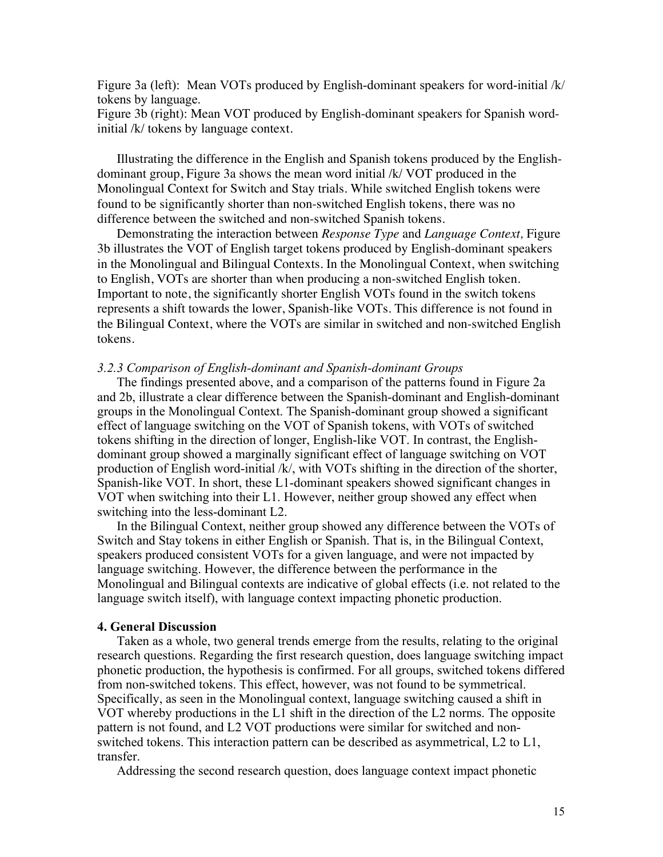Figure 3a (left): Mean VOTs produced by English-dominant speakers for word-initial /k/ tokens by language.

Figure 3b (right): Mean VOT produced by English-dominant speakers for Spanish wordinitial /k/ tokens by language context.

Illustrating the difference in the English and Spanish tokens produced by the Englishdominant group, Figure 3a shows the mean word initial /k/ VOT produced in the Monolingual Context for Switch and Stay trials. While switched English tokens were found to be significantly shorter than non-switched English tokens, there was no difference between the switched and non-switched Spanish tokens.

Demonstrating the interaction between *Response Type* and *Language Context,* Figure 3b illustrates the VOT of English target tokens produced by English-dominant speakers in the Monolingual and Bilingual Contexts. In the Monolingual Context, when switching to English, VOTs are shorter than when producing a non-switched English token. Important to note, the significantly shorter English VOTs found in the switch tokens represents a shift towards the lower, Spanish-like VOTs. This difference is not found in the Bilingual Context, where the VOTs are similar in switched and non-switched English tokens.

#### *3.2.3 Comparison of English-dominant and Spanish-dominant Groups*

The findings presented above, and a comparison of the patterns found in Figure 2a and 2b, illustrate a clear difference between the Spanish-dominant and English-dominant groups in the Monolingual Context. The Spanish-dominant group showed a significant effect of language switching on the VOT of Spanish tokens, with VOTs of switched tokens shifting in the direction of longer, English-like VOT. In contrast, the Englishdominant group showed a marginally significant effect of language switching on VOT production of English word-initial /k/, with VOTs shifting in the direction of the shorter, Spanish-like VOT. In short, these L1-dominant speakers showed significant changes in VOT when switching into their L1. However, neither group showed any effect when switching into the less-dominant L2.

In the Bilingual Context, neither group showed any difference between the VOTs of Switch and Stay tokens in either English or Spanish. That is, in the Bilingual Context, speakers produced consistent VOTs for a given language, and were not impacted by language switching. However, the difference between the performance in the Monolingual and Bilingual contexts are indicative of global effects (i.e. not related to the language switch itself), with language context impacting phonetic production.

## **4. General Discussion**

Taken as a whole, two general trends emerge from the results, relating to the original research questions. Regarding the first research question, does language switching impact phonetic production, the hypothesis is confirmed. For all groups, switched tokens differed from non-switched tokens. This effect, however, was not found to be symmetrical. Specifically, as seen in the Monolingual context, language switching caused a shift in VOT whereby productions in the L1 shift in the direction of the L2 norms. The opposite pattern is not found, and L2 VOT productions were similar for switched and nonswitched tokens. This interaction pattern can be described as asymmetrical, L2 to L1, transfer.

Addressing the second research question, does language context impact phonetic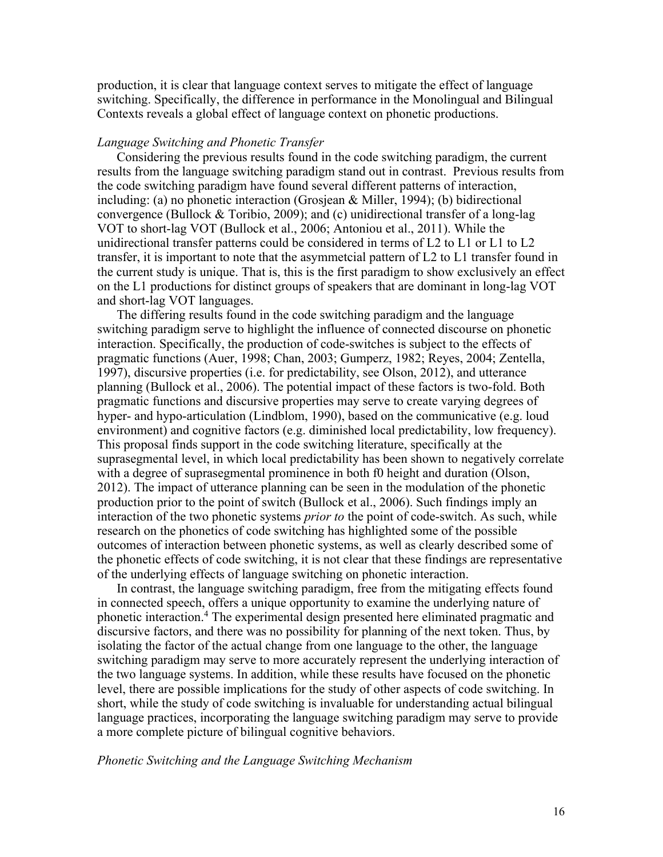production, it is clear that language context serves to mitigate the effect of language switching. Specifically, the difference in performance in the Monolingual and Bilingual Contexts reveals a global effect of language context on phonetic productions.

### *Language Switching and Phonetic Transfer*

Considering the previous results found in the code switching paradigm, the current results from the language switching paradigm stand out in contrast. Previous results from the code switching paradigm have found several different patterns of interaction, including: (a) no phonetic interaction (Grosjean & Miller, 1994); (b) bidirectional convergence (Bullock & Toribio, 2009); and (c) unidirectional transfer of a long-lag VOT to short-lag VOT (Bullock et al., 2006; Antoniou et al., 2011). While the unidirectional transfer patterns could be considered in terms of L2 to L1 or L1 to L2 transfer, it is important to note that the asymmetcial pattern of L2 to L1 transfer found in the current study is unique. That is, this is the first paradigm to show exclusively an effect on the L1 productions for distinct groups of speakers that are dominant in long-lag VOT and short-lag VOT languages.

The differing results found in the code switching paradigm and the language switching paradigm serve to highlight the influence of connected discourse on phonetic interaction. Specifically, the production of code-switches is subject to the effects of pragmatic functions (Auer, 1998; Chan, 2003; Gumperz, 1982; Reyes, 2004; Zentella, 1997), discursive properties (i.e. for predictability, see Olson, 2012), and utterance planning (Bullock et al., 2006). The potential impact of these factors is two-fold. Both pragmatic functions and discursive properties may serve to create varying degrees of hyper- and hypo-articulation (Lindblom, 1990), based on the communicative (e.g. loud environment) and cognitive factors (e.g. diminished local predictability, low frequency). This proposal finds support in the code switching literature, specifically at the suprasegmental level, in which local predictability has been shown to negatively correlate with a degree of suprasegmental prominence in both f0 height and duration (Olson, 2012). The impact of utterance planning can be seen in the modulation of the phonetic production prior to the point of switch (Bullock et al., 2006). Such findings imply an interaction of the two phonetic systems *prior to* the point of code-switch. As such, while research on the phonetics of code switching has highlighted some of the possible outcomes of interaction between phonetic systems, as well as clearly described some of the phonetic effects of code switching, it is not clear that these findings are representative of the underlying effects of language switching on phonetic interaction.

In contrast, the language switching paradigm, free from the mitigating effects found in connected speech, offers a unique opportunity to examine the underlying nature of phonetic interaction.4 The experimental design presented here eliminated pragmatic and discursive factors, and there was no possibility for planning of the next token. Thus, by isolating the factor of the actual change from one language to the other, the language switching paradigm may serve to more accurately represent the underlying interaction of the two language systems. In addition, while these results have focused on the phonetic level, there are possible implications for the study of other aspects of code switching. In short, while the study of code switching is invaluable for understanding actual bilingual language practices, incorporating the language switching paradigm may serve to provide a more complete picture of bilingual cognitive behaviors.

## *Phonetic Switching and the Language Switching Mechanism*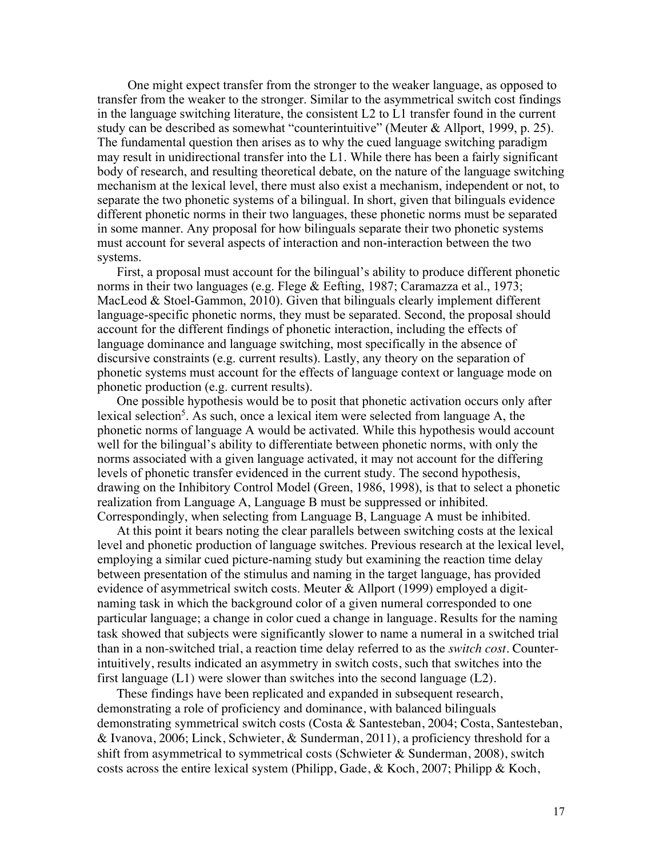One might expect transfer from the stronger to the weaker language, as opposed to transfer from the weaker to the stronger. Similar to the asymmetrical switch cost findings in the language switching literature, the consistent L2 to L1 transfer found in the current study can be described as somewhat "counterintuitive" (Meuter & Allport, 1999, p. 25). The fundamental question then arises as to why the cued language switching paradigm may result in unidirectional transfer into the L1. While there has been a fairly significant body of research, and resulting theoretical debate, on the nature of the language switching mechanism at the lexical level, there must also exist a mechanism, independent or not, to separate the two phonetic systems of a bilingual. In short, given that bilinguals evidence different phonetic norms in their two languages, these phonetic norms must be separated in some manner. Any proposal for how bilinguals separate their two phonetic systems must account for several aspects of interaction and non-interaction between the two systems.

First, a proposal must account for the bilingual's ability to produce different phonetic norms in their two languages (e.g. Flege & Eefting, 1987; Caramazza et al., 1973; MacLeod & Stoel-Gammon, 2010). Given that bilinguals clearly implement different language-specific phonetic norms, they must be separated. Second, the proposal should account for the different findings of phonetic interaction, including the effects of language dominance and language switching, most specifically in the absence of discursive constraints (e.g. current results). Lastly, any theory on the separation of phonetic systems must account for the effects of language context or language mode on phonetic production (e.g. current results).

One possible hypothesis would be to posit that phonetic activation occurs only after lexical selection<sup>5</sup>. As such, once a lexical item were selected from language A, the phonetic norms of language A would be activated. While this hypothesis would account well for the bilingual's ability to differentiate between phonetic norms, with only the norms associated with a given language activated, it may not account for the differing levels of phonetic transfer evidenced in the current study. The second hypothesis, drawing on the Inhibitory Control Model (Green, 1986, 1998), is that to select a phonetic realization from Language A, Language B must be suppressed or inhibited. Correspondingly, when selecting from Language B, Language A must be inhibited.

At this point it bears noting the clear parallels between switching costs at the lexical level and phonetic production of language switches. Previous research at the lexical level, employing a similar cued picture-naming study but examining the reaction time delay between presentation of the stimulus and naming in the target language, has provided evidence of asymmetrical switch costs. Meuter & Allport (1999) employed a digitnaming task in which the background color of a given numeral corresponded to one particular language; a change in color cued a change in language. Results for the naming task showed that subjects were significantly slower to name a numeral in a switched trial than in a non-switched trial, a reaction time delay referred to as the *switch cost*. Counterintuitively, results indicated an asymmetry in switch costs, such that switches into the first language  $(L1)$  were slower than switches into the second language  $(L2)$ .

These findings have been replicated and expanded in subsequent research, demonstrating a role of proficiency and dominance, with balanced bilinguals demonstrating symmetrical switch costs (Costa & Santesteban, 2004; Costa, Santesteban, & Ivanova, 2006; Linck, Schwieter, & Sunderman, 2011), a proficiency threshold for a shift from asymmetrical to symmetrical costs (Schwieter & Sunderman, 2008), switch costs across the entire lexical system (Philipp, Gade,  $\&$  Koch, 2007; Philipp  $\&$  Koch,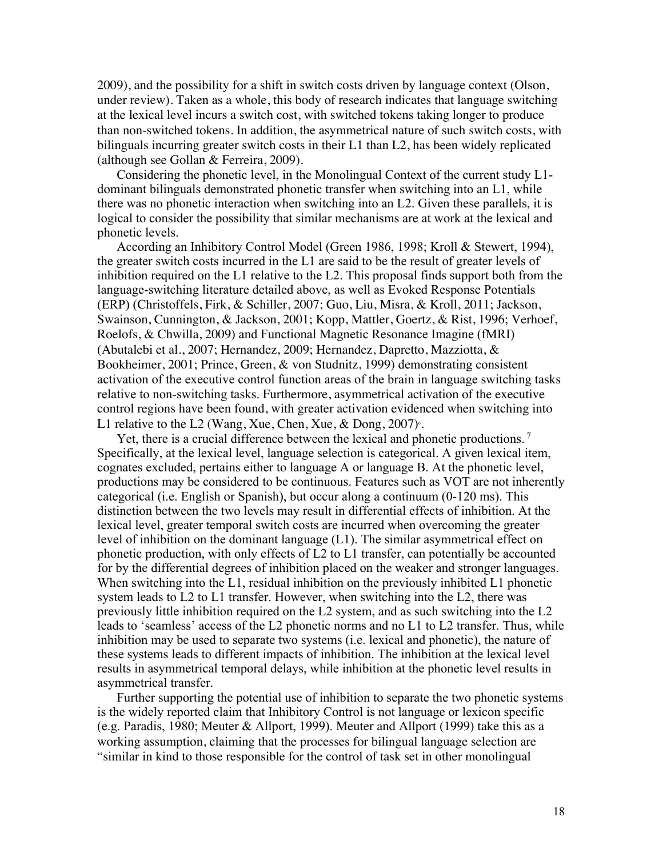2009), and the possibility for a shift in switch costs driven by language context (Olson, under review). Taken as a whole, this body of research indicates that language switching at the lexical level incurs a switch cost, with switched tokens taking longer to produce than non-switched tokens. In addition, the asymmetrical nature of such switch costs, with bilinguals incurring greater switch costs in their L1 than L2, has been widely replicated (although see Gollan & Ferreira, 2009).

Considering the phonetic level, in the Monolingual Context of the current study L1 dominant bilinguals demonstrated phonetic transfer when switching into an L1, while there was no phonetic interaction when switching into an L2. Given these parallels, it is logical to consider the possibility that similar mechanisms are at work at the lexical and phonetic levels.

According an Inhibitory Control Model (Green 1986, 1998; Kroll & Stewert, 1994), the greater switch costs incurred in the L1 are said to be the result of greater levels of inhibition required on the L1 relative to the L2. This proposal finds support both from the language-switching literature detailed above, as well as Evoked Response Potentials (ERP) (Christoffels, Firk, & Schiller, 2007; Guo, Liu, Misra, & Kroll, 2011; Jackson, Swainson, Cunnington, & Jackson, 2001; Kopp, Mattler, Goertz, & Rist, 1996; Verhoef, Roelofs, & Chwilla, 2009) and Functional Magnetic Resonance Imagine (fMRI) (Abutalebi et al., 2007; Hernandez, 2009; Hernandez, Dapretto, Mazziotta, & Bookheimer, 2001; Prince, Green, & von Studnitz, 1999) demonstrating consistent activation of the executive control function areas of the brain in language switching tasks relative to non-switching tasks. Furthermore, asymmetrical activation of the executive control regions have been found, with greater activation evidenced when switching into L1 relative to the L2 (Wang, Xue, Chen, Xue, & Dong,  $2007$ ) $^{\circ}$ .

Yet, there is a crucial difference between the lexical and phonetic productions.<sup>7</sup> Specifically, at the lexical level, language selection is categorical. A given lexical item, cognates excluded, pertains either to language A or language B. At the phonetic level, productions may be considered to be continuous. Features such as VOT are not inherently categorical (i.e. English or Spanish), but occur along a continuum (0-120 ms). This distinction between the two levels may result in differential effects of inhibition. At the lexical level, greater temporal switch costs are incurred when overcoming the greater level of inhibition on the dominant language (L1). The similar asymmetrical effect on phonetic production, with only effects of L2 to L1 transfer, can potentially be accounted for by the differential degrees of inhibition placed on the weaker and stronger languages. When switching into the L1, residual inhibition on the previously inhibited L1 phonetic system leads to L2 to L1 transfer. However, when switching into the L2, there was previously little inhibition required on the L2 system, and as such switching into the L2 leads to 'seamless' access of the L2 phonetic norms and no L1 to L2 transfer. Thus, while inhibition may be used to separate two systems (i.e. lexical and phonetic), the nature of these systems leads to different impacts of inhibition. The inhibition at the lexical level results in asymmetrical temporal delays, while inhibition at the phonetic level results in asymmetrical transfer.

Further supporting the potential use of inhibition to separate the two phonetic systems is the widely reported claim that Inhibitory Control is not language or lexicon specific (e.g. Paradis, 1980; Meuter & Allport, 1999). Meuter and Allport (1999) take this as a working assumption, claiming that the processes for bilingual language selection are "similar in kind to those responsible for the control of task set in other monolingual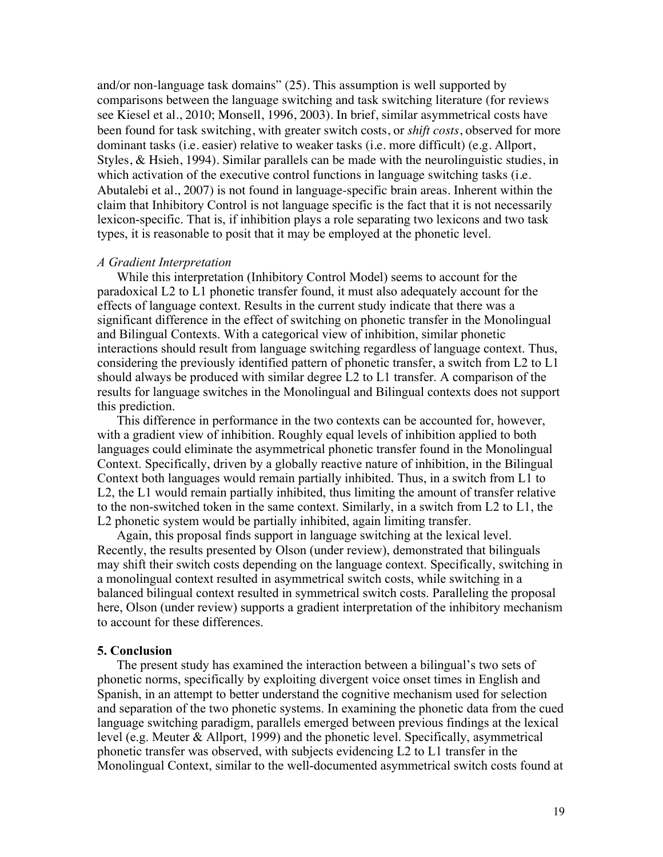and/or non-language task domains" (25). This assumption is well supported by comparisons between the language switching and task switching literature (for reviews see Kiesel et al., 2010; Monsell, 1996, 2003). In brief, similar asymmetrical costs have been found for task switching, with greater switch costs, or *shift costs*, observed for more dominant tasks (i.e. easier) relative to weaker tasks (i.e. more difficult) (e.g. Allport, Styles, & Hsieh, 1994). Similar parallels can be made with the neurolinguistic studies, in which activation of the executive control functions in language switching tasks (i.e. Abutalebi et al., 2007) is not found in language-specific brain areas. Inherent within the claim that Inhibitory Control is not language specific is the fact that it is not necessarily lexicon-specific. That is, if inhibition plays a role separating two lexicons and two task types, it is reasonable to posit that it may be employed at the phonetic level.

#### *A Gradient Interpretation*

While this interpretation (Inhibitory Control Model) seems to account for the paradoxical L2 to L1 phonetic transfer found, it must also adequately account for the effects of language context. Results in the current study indicate that there was a significant difference in the effect of switching on phonetic transfer in the Monolingual and Bilingual Contexts. With a categorical view of inhibition, similar phonetic interactions should result from language switching regardless of language context. Thus, considering the previously identified pattern of phonetic transfer, a switch from L2 to L1 should always be produced with similar degree L2 to L1 transfer. A comparison of the results for language switches in the Monolingual and Bilingual contexts does not support this prediction.

This difference in performance in the two contexts can be accounted for, however, with a gradient view of inhibition. Roughly equal levels of inhibition applied to both languages could eliminate the asymmetrical phonetic transfer found in the Monolingual Context. Specifically, driven by a globally reactive nature of inhibition, in the Bilingual Context both languages would remain partially inhibited. Thus, in a switch from L1 to L2, the L1 would remain partially inhibited, thus limiting the amount of transfer relative to the non-switched token in the same context. Similarly, in a switch from L2 to L1, the L<sub>2</sub> phonetic system would be partially inhibited, again limiting transfer.

Again, this proposal finds support in language switching at the lexical level. Recently, the results presented by Olson (under review), demonstrated that bilinguals may shift their switch costs depending on the language context. Specifically, switching in a monolingual context resulted in asymmetrical switch costs, while switching in a balanced bilingual context resulted in symmetrical switch costs. Paralleling the proposal here, Olson (under review) supports a gradient interpretation of the inhibitory mechanism to account for these differences.

#### **5. Conclusion**

The present study has examined the interaction between a bilingual's two sets of phonetic norms, specifically by exploiting divergent voice onset times in English and Spanish, in an attempt to better understand the cognitive mechanism used for selection and separation of the two phonetic systems. In examining the phonetic data from the cued language switching paradigm, parallels emerged between previous findings at the lexical level (e.g. Meuter & Allport, 1999) and the phonetic level. Specifically, asymmetrical phonetic transfer was observed, with subjects evidencing L2 to L1 transfer in the Monolingual Context, similar to the well-documented asymmetrical switch costs found at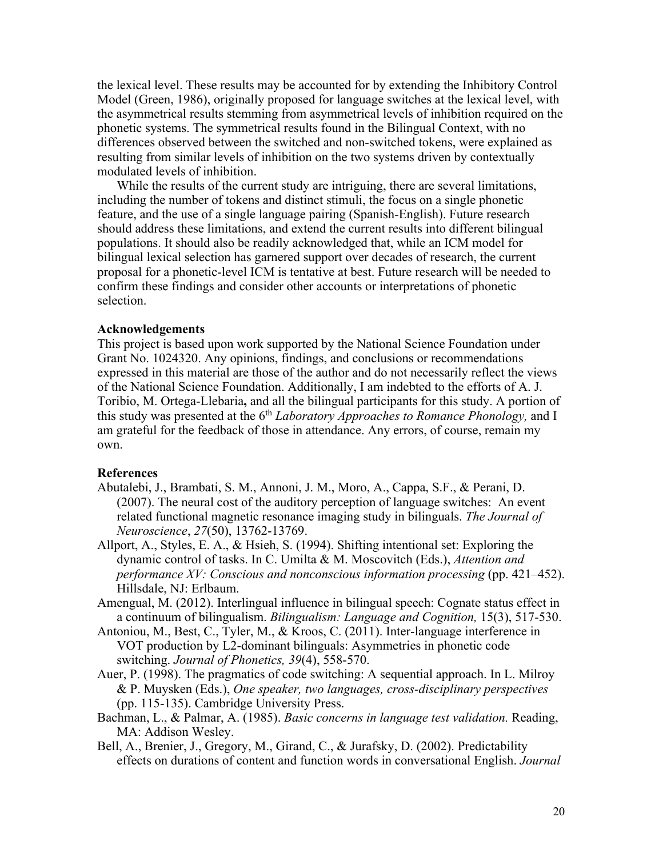the lexical level. These results may be accounted for by extending the Inhibitory Control Model (Green, 1986), originally proposed for language switches at the lexical level, with the asymmetrical results stemming from asymmetrical levels of inhibition required on the phonetic systems. The symmetrical results found in the Bilingual Context, with no differences observed between the switched and non-switched tokens, were explained as resulting from similar levels of inhibition on the two systems driven by contextually modulated levels of inhibition.

While the results of the current study are intriguing, there are several limitations, including the number of tokens and distinct stimuli, the focus on a single phonetic feature, and the use of a single language pairing (Spanish-English). Future research should address these limitations, and extend the current results into different bilingual populations. It should also be readily acknowledged that, while an ICM model for bilingual lexical selection has garnered support over decades of research, the current proposal for a phonetic-level ICM is tentative at best. Future research will be needed to confirm these findings and consider other accounts or interpretations of phonetic selection.

## **Acknowledgements**

This project is based upon work supported by the National Science Foundation under Grant No. 1024320. Any opinions, findings, and conclusions or recommendations expressed in this material are those of the author and do not necessarily reflect the views of the National Science Foundation. Additionally, I am indebted to the efforts of A. J. Toribio, M. Ortega-Llebaria**,** and all the bilingual participants for this study. A portion of this study was presented at the 6<sup>th</sup> *Laboratory Approaches to Romance Phonology*, and I am grateful for the feedback of those in attendance. Any errors, of course, remain my own.

#### **References**

- Abutalebi, J., Brambati, S. M., Annoni, J. M., Moro, A., Cappa, S.F., & Perani, D. (2007). The neural cost of the auditory perception of language switches: An event related functional magnetic resonance imaging study in bilinguals. *The Journal of Neuroscience*, *27*(50), 13762-13769.
- Allport, A., Styles, E. A., & Hsieh, S. (1994). Shifting intentional set: Exploring the dynamic control of tasks. In C. Umilta & M. Moscovitch (Eds.), *Attention and performance XV: Conscious and nonconscious information processing* (pp. 421–452). Hillsdale, NJ: Erlbaum.
- Amengual, M. (2012). Interlingual influence in bilingual speech: Cognate status effect in a continuum of bilingualism. *Bilingualism: Language and Cognition,* 15(3), 517-530.
- Antoniou, M., Best, C., Tyler, M., & Kroos, C. (2011). Inter-language interference in VOT production by L2-dominant bilinguals: Asymmetries in phonetic code switching. *Journal of Phonetics, 39*(4), 558-570.
- Auer, P. (1998). The pragmatics of code switching: A sequential approach. In L. Milroy & P. Muysken (Eds.), *One speaker, two languages, cross-disciplinary perspectives*  (pp. 115-135). Cambridge University Press.
- Bachman, L., & Palmar, A. (1985). *Basic concerns in language test validation.* Reading, MA: Addison Wesley.
- Bell, A., Brenier, J., Gregory, M., Girand, C., & Jurafsky, D. (2002). Predictability effects on durations of content and function words in conversational English. *Journal*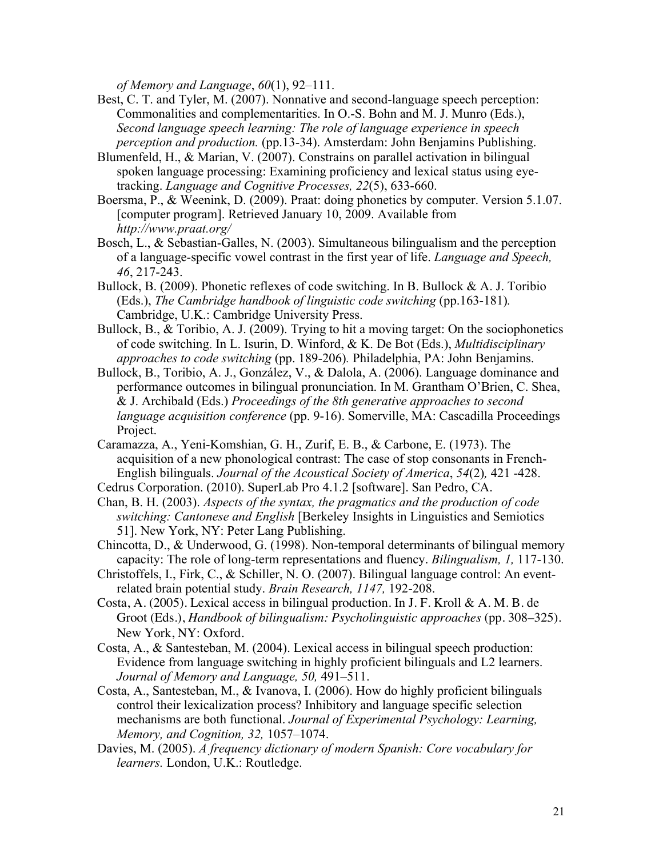*of Memory and Language*, *60*(1), 92–111.

- Best, C. T. and Tyler, M. (2007). Nonnative and second-language speech perception: Commonalities and complementarities. In O.-S. Bohn and M. J. Munro (Eds.), *Second language speech learning: The role of language experience in speech perception and production.* (pp.13-34). Amsterdam: John Benjamins Publishing.
- Blumenfeld, H., & Marian, V. (2007). Constrains on parallel activation in bilingual spoken language processing: Examining proficiency and lexical status using eyetracking. *Language and Cognitive Processes, 22*(5), 633-660.
- Boersma, P., & Weenink, D. (2009). Praat: doing phonetics by computer. Version 5.1.07. [computer program]. Retrieved January 10, 2009. Available from *http://www.praat.org/*
- Bosch, L., & Sebastian-Galles, N. (2003). Simultaneous bilingualism and the perception of a language-specific vowel contrast in the first year of life. *Language and Speech, 46*, 217-243.
- Bullock, B. (2009). Phonetic reflexes of code switching. In B. Bullock & A. J. Toribio (Eds.), *The Cambridge handbook of linguistic code switching* (pp.163-181)*.*  Cambridge, U.K.: Cambridge University Press.
- Bullock, B., & Toribio, A. J. (2009). Trying to hit a moving target: On the sociophonetics of code switching. In L. Isurin, D. Winford, & K. De Bot (Eds.), *Multidisciplinary approaches to code switching* (pp. 189-206)*.* Philadelphia, PA: John Benjamins.
- Bullock, B., Toribio, A. J., González, V., & Dalola, A. (2006). Language dominance and performance outcomes in bilingual pronunciation. In M. Grantham O'Brien, C. Shea, & J. Archibald (Eds.) *Proceedings of the 8th generative approaches to second language acquisition conference* (pp. 9-16). Somerville, MA: Cascadilla Proceedings Project.
- Caramazza, A., Yeni-Komshian, G. H., Zurif, E. B., & Carbone, E. (1973). The acquisition of a new phonological contrast: The case of stop consonants in French-English bilinguals. *Journal of the Acoustical Society of America*, *54*(2)*,* 421 -428.
- Cedrus Corporation. (2010). SuperLab Pro 4.1.2 [software]. San Pedro, CA.
- Chan, B. H. (2003). *Aspects of the syntax, the pragmatics and the production of code switching: Cantonese and English* [Berkeley Insights in Linguistics and Semiotics 51]. New York, NY: Peter Lang Publishing.
- Chincotta, D., & Underwood, G. (1998). Non-temporal determinants of bilingual memory capacity: The role of long-term representations and fluency. *Bilingualism, 1,* 117-130.
- Christoffels, I., Firk, C., & Schiller, N. O. (2007). Bilingual language control: An eventrelated brain potential study. *Brain Research, 1147,* 192-208.
- Costa, A. (2005). Lexical access in bilingual production. In J. F. Kroll & A. M. B. de Groot (Eds.), *Handbook of bilingualism: Psycholinguistic approaches* (pp. 308–325). New York, NY: Oxford.
- Costa, A., & Santesteban, M. (2004). Lexical access in bilingual speech production: Evidence from language switching in highly proficient bilinguals and L2 learners. *Journal of Memory and Language, 50,* 491–511.
- Costa, A., Santesteban, M., & Ivanova, I. (2006). How do highly proficient bilinguals control their lexicalization process? Inhibitory and language specific selection mechanisms are both functional. *Journal of Experimental Psychology: Learning, Memory, and Cognition, 32,* 1057–1074.
- Davies, M. (2005). *A frequency dictionary of modern Spanish: Core vocabulary for learners.* London, U.K.: Routledge.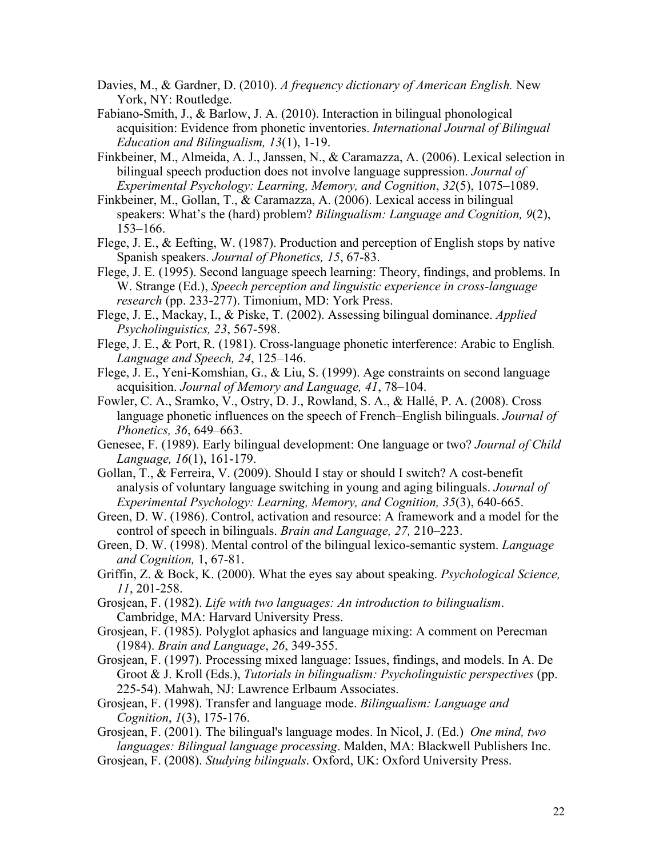- Davies, M., & Gardner, D. (2010). *A frequency dictionary of American English.* New York, NY: Routledge.
- Fabiano-Smith, J., & Barlow, J. A. (2010). Interaction in bilingual phonological acquisition: Evidence from phonetic inventories. *International Journal of Bilingual Education and Bilingualism, 13*(1), 1-19.
- Finkbeiner, M., Almeida, A. J., Janssen, N., & Caramazza, A. (2006). Lexical selection in bilingual speech production does not involve language suppression. *Journal of Experimental Psychology: Learning, Memory, and Cognition*, *32*(5), 1075–1089.
- Finkbeiner, M., Gollan, T., & Caramazza, A. (2006). Lexical access in bilingual speakers: What's the (hard) problem? *Bilingualism: Language and Cognition, 9*(2), 153–166.
- Flege, J. E., & Eefting, W. (1987). Production and perception of English stops by native Spanish speakers. *Journal of Phonetics, 15*, 67-83.
- Flege, J. E. (1995). Second language speech learning: Theory, findings, and problems. In W. Strange (Ed.), *Speech perception and linguistic experience in cross-language research* (pp. 233-277). Timonium, MD: York Press.
- Flege, J. E., Mackay, I., & Piske, T. (2002). Assessing bilingual dominance. *Applied Psycholinguistics, 23*, 567-598.
- Flege, J. E., & Port, R. (1981). Cross-language phonetic interference: Arabic to English*. Language and Speech, 24*, 125–146.
- Flege, J. E., Yeni-Komshian, G., & Liu, S. (1999). Age constraints on second language acquisition. *Journal of Memory and Language, 41*, 78–104.
- Fowler, C. A., Sramko, V., Ostry, D. J., Rowland, S. A., & Hallé, P. A. (2008). Cross language phonetic influences on the speech of French–English bilinguals. *Journal of Phonetics, 36*, 649–663.
- Genesee, F. (1989). Early bilingual development: One language or two? *Journal of Child Language, 16*(1), 161-179.
- Gollan, T., & Ferreira, V. (2009). Should I stay or should I switch? A cost-benefit analysis of voluntary language switching in young and aging bilinguals. *Journal of Experimental Psychology: Learning, Memory, and Cognition, 35*(3), 640-665.
- Green, D. W. (1986). Control, activation and resource: A framework and a model for the control of speech in bilinguals. *Brain and Language, 27,* 210–223.
- Green, D. W. (1998). Mental control of the bilingual lexico-semantic system. *Language and Cognition,* 1, 67-81.
- Griffin, Z. & Bock, K. (2000). What the eyes say about speaking. *Psychological Science, 11*, 201-258.
- Grosjean, F. (1982). *Life with two languages: An introduction to bilingualism*. Cambridge, MA: Harvard University Press.
- Grosjean, F. (1985). Polyglot aphasics and language mixing: A comment on Perecman (1984). *Brain and Language*, *26*, 349-355.
- Grosjean, F. (1997). Processing mixed language: Issues, findings, and models. In A. De Groot & J. Kroll (Eds.), *Tutorials in bilingualism: Psycholinguistic perspectives* (pp. 225-54). Mahwah, NJ: Lawrence Erlbaum Associates.
- Grosjean, F. (1998). Transfer and language mode. *Bilingualism: Language and Cognition*, *1*(3), 175-176.
- Grosjean, F. (2001). The bilingual's language modes. In Nicol, J. (Ed.) *One mind, two languages: Bilingual language processing*. Malden, MA: Blackwell Publishers Inc.
- Grosjean, F. (2008). *Studying bilinguals*. Oxford, UK: Oxford University Press.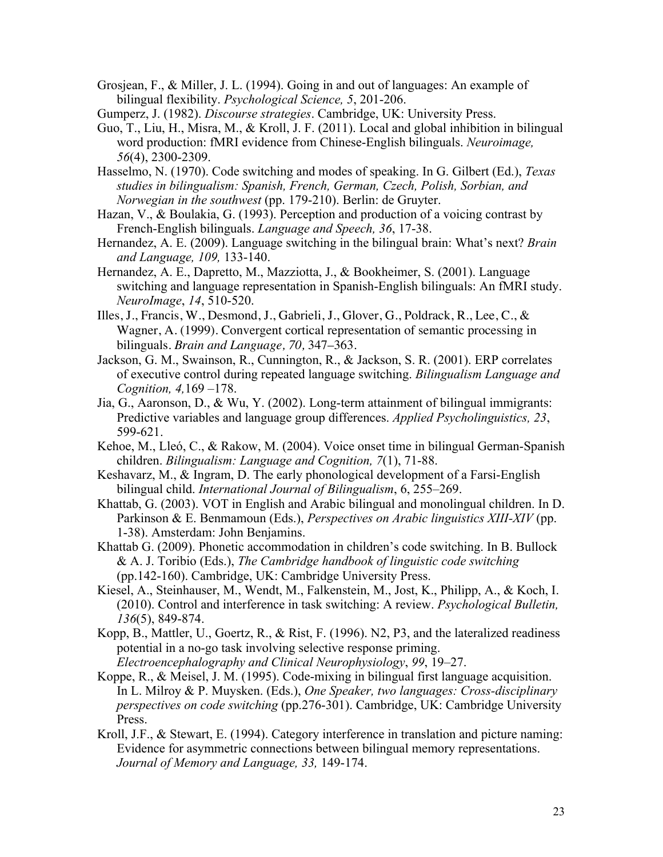Grosjean, F., & Miller, J. L. (1994). Going in and out of languages: An example of bilingual flexibility. *Psychological Science, 5*, 201-206.

Gumperz, J. (1982). *Discourse strategies*. Cambridge, UK: University Press.

- Guo, T., Liu, H., Misra, M., & Kroll, J. F. (2011). Local and global inhibition in bilingual word production: fMRI evidence from Chinese-English bilinguals. *Neuroimage, 56*(4), 2300-2309.
- Hasselmo, N. (1970). Code switching and modes of speaking. In G. Gilbert (Ed.), *Texas studies in bilingualism: Spanish, French, German, Czech, Polish, Sorbian, and Norwegian in the southwest* (pp. 179-210). Berlin: de Gruyter.
- Hazan, V., & Boulakia, G. (1993). Perception and production of a voicing contrast by French-English bilinguals. *Language and Speech, 36*, 17-38.
- Hernandez, A. E. (2009). Language switching in the bilingual brain: What's next? *Brain and Language, 109,* 133-140.
- Hernandez, A. E., Dapretto, M., Mazziotta, J., & Bookheimer, S. (2001). Language switching and language representation in Spanish-English bilinguals: An fMRI study. *NeuroImage*, *14*, 510-520.
- Illes, J., Francis, W., Desmond, J., Gabrieli, J., Glover, G., Poldrack, R., Lee, C., & Wagner, A. (1999). Convergent cortical representation of semantic processing in bilinguals. *Brain and Language, 70,* 347–363.
- Jackson, G. M., Swainson, R., Cunnington, R., & Jackson, S. R. (2001). ERP correlates of executive control during repeated language switching. *Bilingualism Language and Cognition, 4,*169 –178.
- Jia, G., Aaronson, D., & Wu, Y. (2002). Long-term attainment of bilingual immigrants: Predictive variables and language group differences. *Applied Psycholinguistics, 23*, 599-621.
- Kehoe, M., Lleó, C., & Rakow, M. (2004). Voice onset time in bilingual German-Spanish children. *Bilingualism: Language and Cognition, 7*(1), 71-88.
- Keshavarz, M., & Ingram, D. The early phonological development of a Farsi-English bilingual child. *International Journal of Bilingualism*, 6, 255–269.
- Khattab, G. (2003). VOT in English and Arabic bilingual and monolingual children. In D. Parkinson & E. Benmamoun (Eds.), *Perspectives on Arabic linguistics XIII-XIV* (pp. 1-38). Amsterdam: John Benjamins.
- Khattab G. (2009). Phonetic accommodation in children's code switching. In B. Bullock & A. J. Toribio (Eds.), *The Cambridge handbook of linguistic code switching* (pp.142-160). Cambridge, UK: Cambridge University Press.
- Kiesel, A., Steinhauser, M., Wendt, M., Falkenstein, M., Jost, K., Philipp, A., & Koch, I. (2010). Control and interference in task switching: A review. *Psychological Bulletin, 136*(5), 849-874.
- Kopp, B., Mattler, U., Goertz, R., & Rist, F. (1996). N2, P3, and the lateralized readiness potential in a no-go task involving selective response priming. *Electroencephalography and Clinical Neurophysiology*, *99*, 19–27.
- Koppe, R., & Meisel, J. M. (1995). Code-mixing in bilingual first language acquisition. In L. Milroy & P. Muysken. (Eds.), *One Speaker, two languages: Cross-disciplinary perspectives on code switching* (pp.276-301). Cambridge, UK: Cambridge University Press.
- Kroll, J.F., & Stewart, E. (1994). Category interference in translation and picture naming: Evidence for asymmetric connections between bilingual memory representations. *Journal of Memory and Language, 33,* 149-174.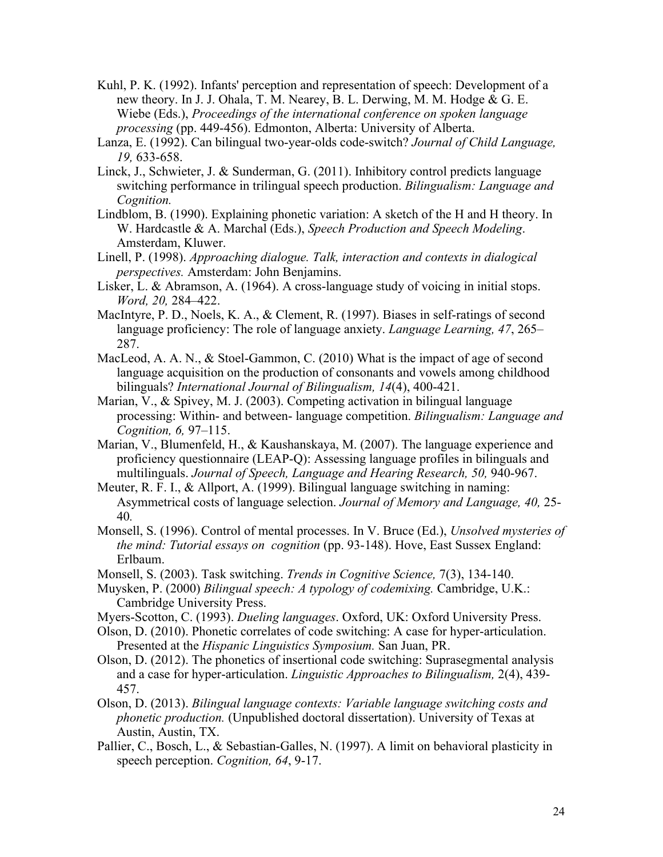- Kuhl, P. K. (1992). Infants' perception and representation of speech: Development of a new theory. In J. J. Ohala, T. M. Nearey, B. L. Derwing, M. M. Hodge & G. E. Wiebe (Eds.), *Proceedings of the international conference on spoken language processing* (pp. 449-456). Edmonton, Alberta: University of Alberta.
- Lanza, E. (1992). Can bilingual two-year-olds code-switch? *Journal of Child Language, 19,* 633-658.
- Linck, J., Schwieter, J. & Sunderman, G. (2011). Inhibitory control predicts language switching performance in trilingual speech production. *Bilingualism: Language and Cognition.*
- Lindblom, B. (1990). Explaining phonetic variation: A sketch of the H and H theory. In W. Hardcastle & A. Marchal (Eds.), *Speech Production and Speech Modeling*. Amsterdam, Kluwer.
- Linell, P. (1998). *Approaching dialogue. Talk, interaction and contexts in dialogical perspectives.* Amsterdam: John Benjamins.
- Lisker, L. & Abramson, A. (1964). A cross-language study of voicing in initial stops. *Word, 20,* 284–422.
- MacIntyre, P. D., Noels, K. A., & Clement, R. (1997). Biases in self-ratings of second language proficiency: The role of language anxiety. *Language Learning, 47*, 265– 287.
- MacLeod, A. A. N., & Stoel-Gammon, C. (2010) What is the impact of age of second language acquisition on the production of consonants and vowels among childhood bilinguals? *International Journal of Bilingualism, 14*(4), 400-421.
- Marian, V., & Spivey, M. J. (2003). Competing activation in bilingual language processing: Within- and between- language competition. *Bilingualism: Language and Cognition, 6,* 97–115.
- Marian, V., Blumenfeld, H., & Kaushanskaya, M. (2007). The language experience and proficiency questionnaire (LEAP-Q): Assessing language profiles in bilinguals and multilinguals. *Journal of Speech, Language and Hearing Research, 50,* 940-967.
- Meuter, R. F. I., & Allport, A. (1999). Bilingual language switching in naming: Asymmetrical costs of language selection. *Journal of Memory and Language, 40,* 25- 40*.*
- Monsell, S. (1996). Control of mental processes. In V. Bruce (Ed.), *Unsolved mysteries of the mind: Tutorial essays on cognition* (pp. 93-148). Hove, East Sussex England: Erlbaum.
- Monsell, S. (2003). Task switching. *Trends in Cognitive Science,* 7(3), 134-140.
- Muysken, P. (2000) *Bilingual speech: A typology of codemixing.* Cambridge, U.K.: Cambridge University Press.
- Myers-Scotton, C. (1993). *Dueling languages*. Oxford, UK: Oxford University Press.
- Olson, D. (2010). Phonetic correlates of code switching: A case for hyper-articulation. Presented at the *Hispanic Linguistics Symposium.* San Juan, PR.
- Olson, D. (2012). The phonetics of insertional code switching: Suprasegmental analysis and a case for hyper-articulation. *Linguistic Approaches to Bilingualism,* 2(4), 439- 457.
- Olson, D. (2013). *Bilingual language contexts: Variable language switching costs and phonetic production.* (Unpublished doctoral dissertation). University of Texas at Austin, Austin, TX.
- Pallier, C., Bosch, L., & Sebastian-Galles, N. (1997). A limit on behavioral plasticity in speech perception. *Cognition, 64*, 9-17.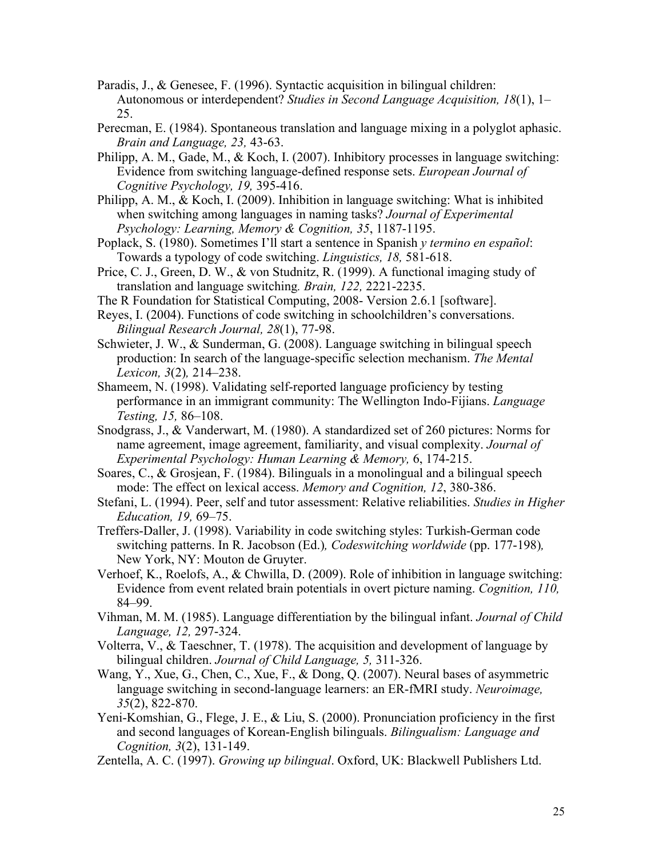- Paradis, J., & Genesee, F. (1996). Syntactic acquisition in bilingual children: Autonomous or interdependent? *Studies in Second Language Acquisition, 18*(1), 1– 25.
- Perecman, E. (1984). Spontaneous translation and language mixing in a polyglot aphasic. *Brain and Language, 23,* 43-63.
- Philipp, A. M., Gade, M., & Koch, I. (2007). Inhibitory processes in language switching: Evidence from switching language-defined response sets. *European Journal of Cognitive Psychology, 19,* 395-416.
- Philipp, A. M., & Koch, I. (2009). Inhibition in language switching: What is inhibited when switching among languages in naming tasks? *Journal of Experimental Psychology: Learning, Memory & Cognition, 35*, 1187-1195.
- Poplack, S. (1980). Sometimes I'll start a sentence in Spanish *y termino en español*: Towards a typology of code switching. *Linguistics, 18,* 581-618.
- Price, C. J., Green, D. W., & von Studnitz, R. (1999). A functional imaging study of translation and language switching*. Brain, 122,* 2221-2235.
- The R Foundation for Statistical Computing, 2008- Version 2.6.1 [software].
- Reyes, I. (2004). Functions of code switching in schoolchildren's conversations. *Bilingual Research Journal, 28*(1), 77-98.
- Schwieter, J. W., & Sunderman, G. (2008). Language switching in bilingual speech production: In search of the language-specific selection mechanism. *The Mental Lexicon, 3*(2)*,* 214–238.
- Shameem, N. (1998). Validating self-reported language proficiency by testing performance in an immigrant community: The Wellington Indo-Fijians. *Language Testing, 15,* 86–108.
- Snodgrass, J., & Vanderwart, M. (1980). A standardized set of 260 pictures: Norms for name agreement, image agreement, familiarity, and visual complexity. *Journal of Experimental Psychology: Human Learning & Memory,* 6, 174-215.
- Soares, C., & Grosjean, F. (1984). Bilinguals in a monolingual and a bilingual speech mode: The effect on lexical access. *Memory and Cognition, 12*, 380-386.
- Stefani, L. (1994). Peer, self and tutor assessment: Relative reliabilities. *Studies in Higher Education, 19,* 69–75.
- Treffers-Daller, J. (1998). Variability in code switching styles: Turkish-German code switching patterns. In R. Jacobson (Ed.)*, Codeswitching worldwide* (pp. 177-198)*,* New York, NY: Mouton de Gruyter.
- Verhoef, K., Roelofs, A., & Chwilla, D. (2009). Role of inhibition in language switching: Evidence from event related brain potentials in overt picture naming. *Cognition, 110,*  84–99.
- Vihman, M. M. (1985). Language differentiation by the bilingual infant. *Journal of Child Language, 12,* 297-324.
- Volterra, V., & Taeschner, T. (1978). The acquisition and development of language by bilingual children. *Journal of Child Language, 5,* 311-326.
- Wang, Y., Xue, G., Chen, C., Xue, F., & Dong, Q. (2007). Neural bases of asymmetric language switching in second-language learners: an ER-fMRI study. *Neuroimage, 35*(2), 822-870.
- Yeni-Komshian, G., Flege, J. E., & Liu, S. (2000). Pronunciation proficiency in the first and second languages of Korean-English bilinguals. *Bilingualism: Language and Cognition, 3*(2), 131-149.
- Zentella, A. C. (1997). *Growing up bilingual*. Oxford, UK: Blackwell Publishers Ltd.